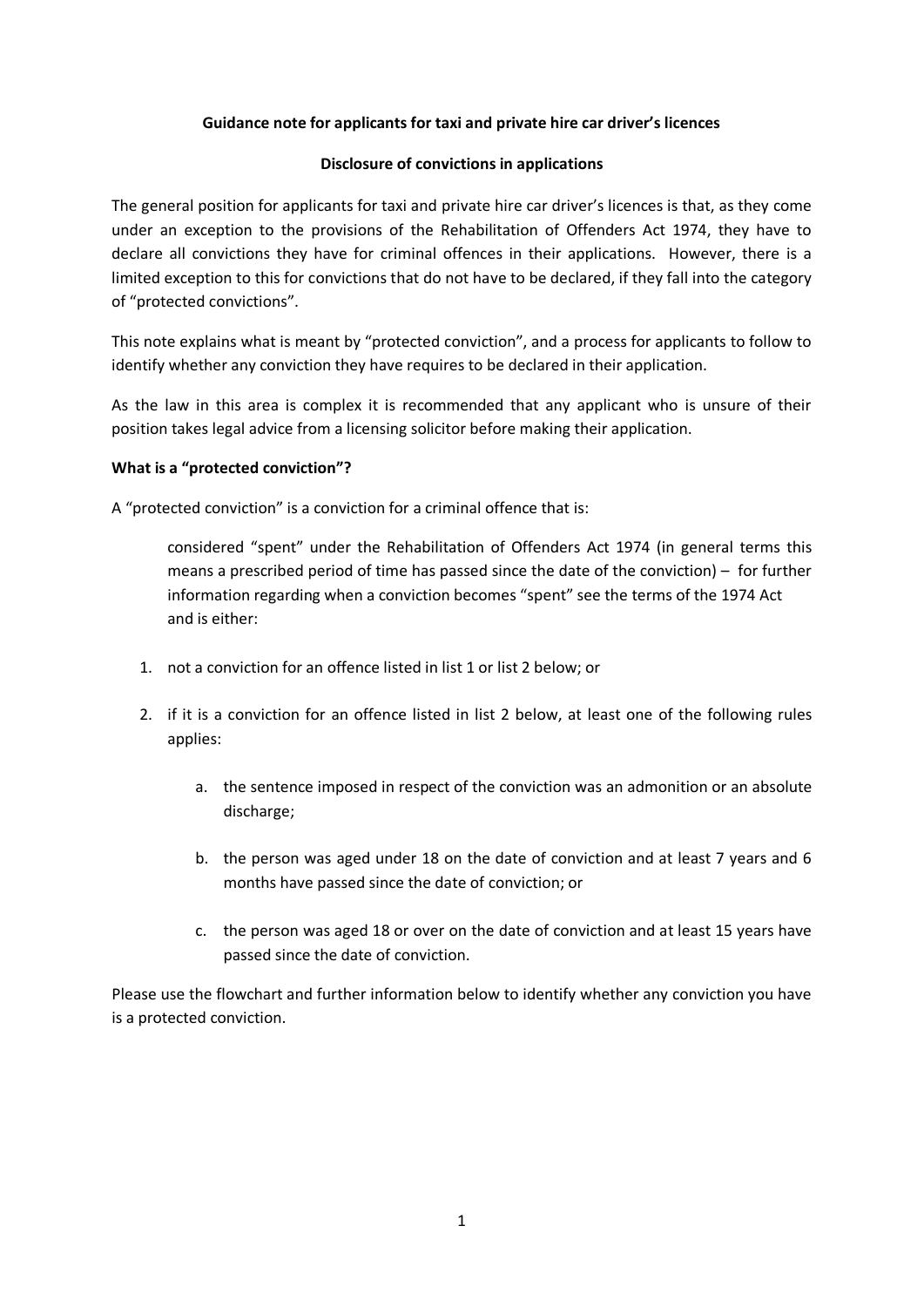## **Guidance note for applicants for taxi and private hire car driver's licences**

### **Disclosure of convictions in applications**

The general position for applicants for taxi and private hire car driver's licences is that, as they come under an exception to the provisions of the Rehabilitation of Offenders Act 1974, they have to declare all convictions they have for criminal offences in their applications. However, there is a limited exception to this for convictions that do not have to be declared, if they fall into the category of "protected convictions".

This note explains what is meant by "protected conviction", and a process for applicants to follow to identify whether any conviction they have requires to be declared in their application.

As the law in this area is complex it is recommended that any applicant who is unsure of their position takes legal advice from a licensing solicitor before making their application.

## **What is a "protected conviction"?**

A "protected conviction" is a conviction for a criminal offence that is:

considered "spent" under the Rehabilitation of Offenders Act 1974 (in general terms this means a prescribed period of time has passed since the date of the conviction) – for further information regarding when a conviction becomes "spent" see the terms of the 1974 Act and is either:

- 1. not a conviction for an offence listed in list 1 or list 2 below; or
- 2. if it is a conviction for an offence listed in list 2 below, at least one of the following rules applies:
	- a. the sentence imposed in respect of the conviction was an admonition or an absolute discharge;
	- b. the person was aged under 18 on the date of conviction and at least 7 years and 6 months have passed since the date of conviction; or
	- c. the person was aged 18 or over on the date of conviction and at least 15 years have passed since the date of conviction.

Please use the flowchart and further information below to identify whether any conviction you have is a protected conviction.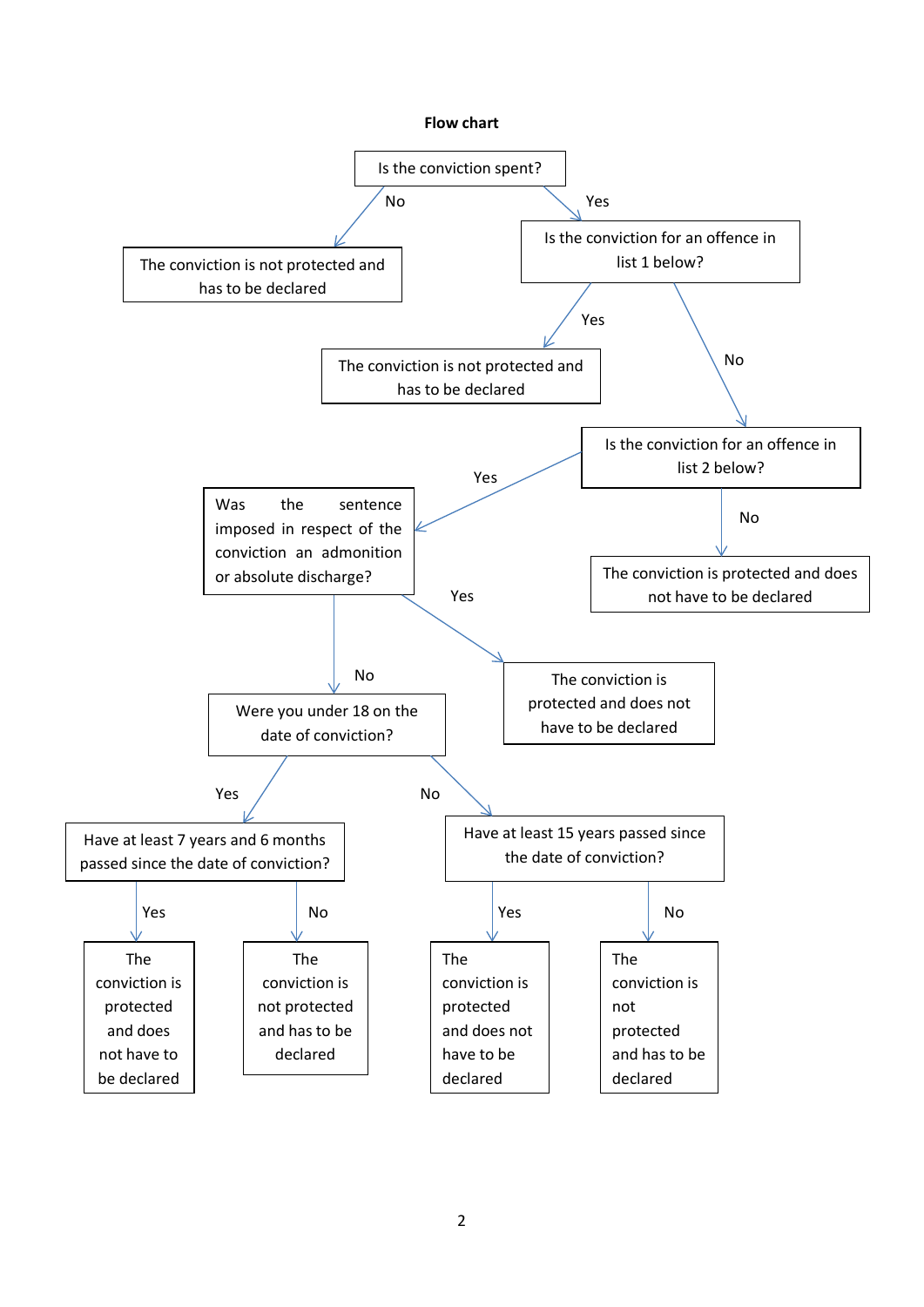

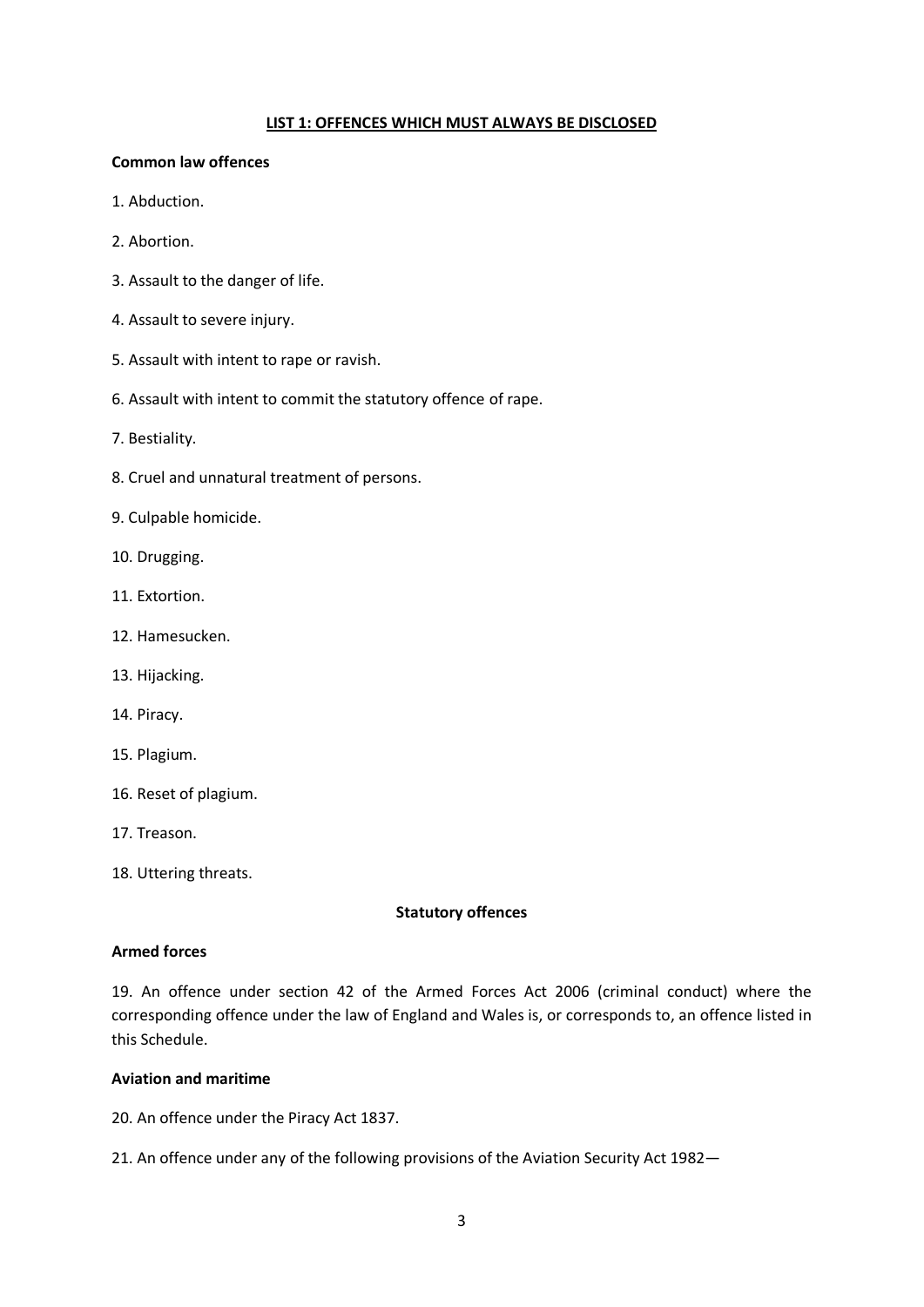#### **LIST 1: OFFENCES WHICH MUST ALWAYS BE DISCLOSED**

#### **Common law offences**

- 1. Abduction.
- 2. Abortion.
- 3. Assault to the danger of life.
- 4. Assault to severe injury.
- 5. Assault with intent to rape or ravish.
- 6. Assault with intent to commit the statutory offence of rape.
- 7. Bestiality.
- 8. Cruel and unnatural treatment of persons.
- 9. Culpable homicide.
- 10. Drugging.
- 11. Extortion.
- 12. Hamesucken.
- 13. Hijacking.
- 14. Piracy.
- 15. Plagium.
- 16. Reset of plagium.
- 17. Treason.
- 18. Uttering threats.

### **Statutory offences**

### **Armed forces**

19. An offence under section 42 of the Armed Forces Act 2006 (criminal conduct) where the corresponding offence under the law of England and Wales is, or corresponds to, an offence listed in this Schedule.

## **Aviation and maritime**

20. An offence under the Piracy Act 1837.

21. An offence under any of the following provisions of the Aviation Security Act 1982—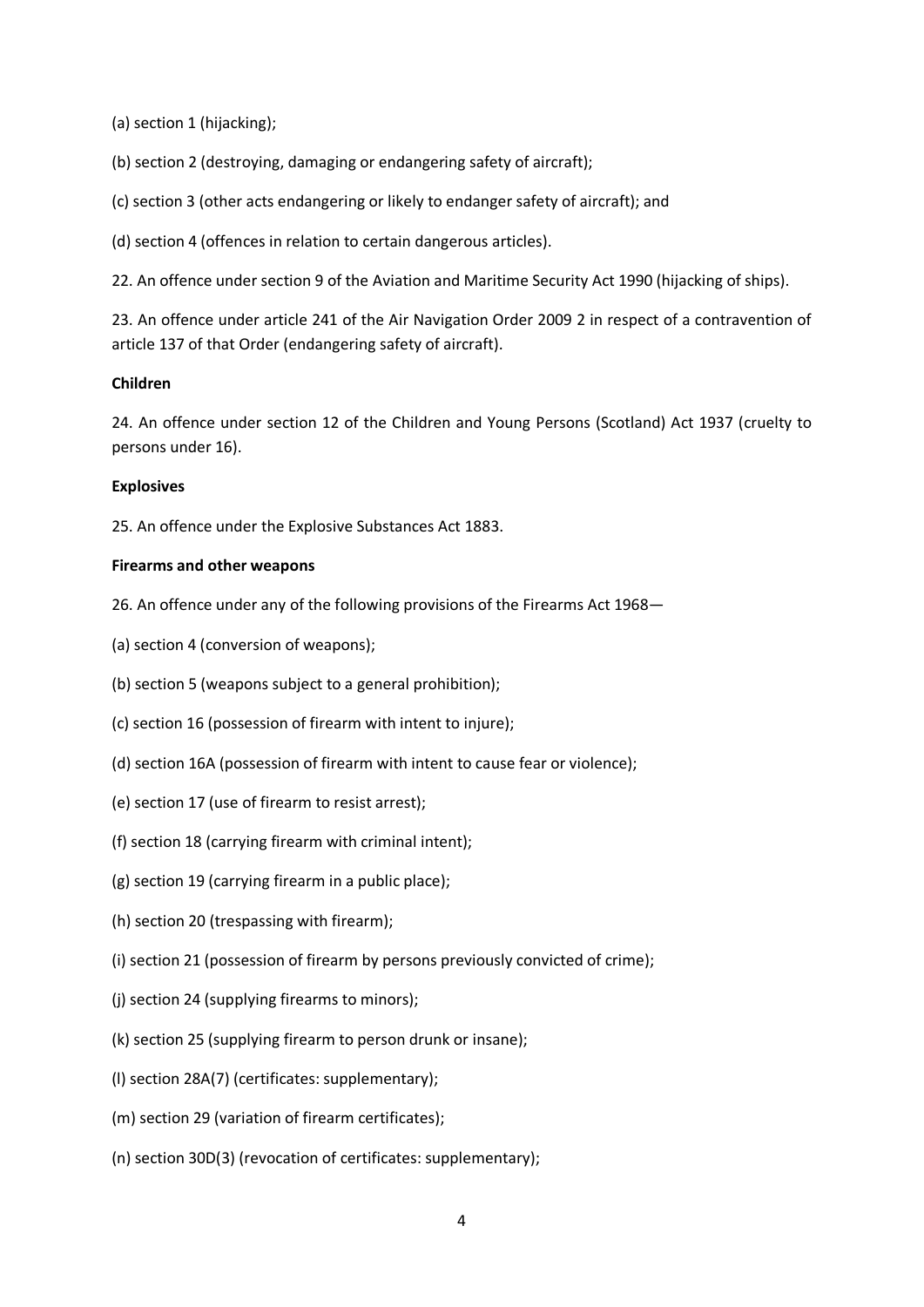(a) section 1 (hijacking);

(b) section 2 (destroying, damaging or endangering safety of aircraft);

- (c) section 3 (other acts endangering or likely to endanger safety of aircraft); and
- (d) section 4 (offences in relation to certain dangerous articles).

22. An offence under section 9 of the Aviation and Maritime Security Act 1990 (hijacking of ships).

23. An offence under article 241 of the Air Navigation Order 2009 2 in respect of a contravention of article 137 of that Order (endangering safety of aircraft).

### **Children**

24. An offence under section 12 of the Children and Young Persons (Scotland) Act 1937 (cruelty to persons under 16).

### **Explosives**

25. An offence under the Explosive Substances Act 1883.

### **Firearms and other weapons**

- 26. An offence under any of the following provisions of the Firearms Act 1968—
- (a) section 4 (conversion of weapons);
- (b) section 5 (weapons subject to a general prohibition);
- (c) section 16 (possession of firearm with intent to injure);
- (d) section 16A (possession of firearm with intent to cause fear or violence);
- (e) section 17 (use of firearm to resist arrest);
- (f) section 18 (carrying firearm with criminal intent);
- (g) section 19 (carrying firearm in a public place);
- (h) section 20 (trespassing with firearm);
- (i) section 21 (possession of firearm by persons previously convicted of crime);
- (j) section 24 (supplying firearms to minors);
- (k) section 25 (supplying firearm to person drunk or insane);
- (l) section 28A(7) (certificates: supplementary);
- (m) section 29 (variation of firearm certificates);
- (n) section 30D(3) (revocation of certificates: supplementary);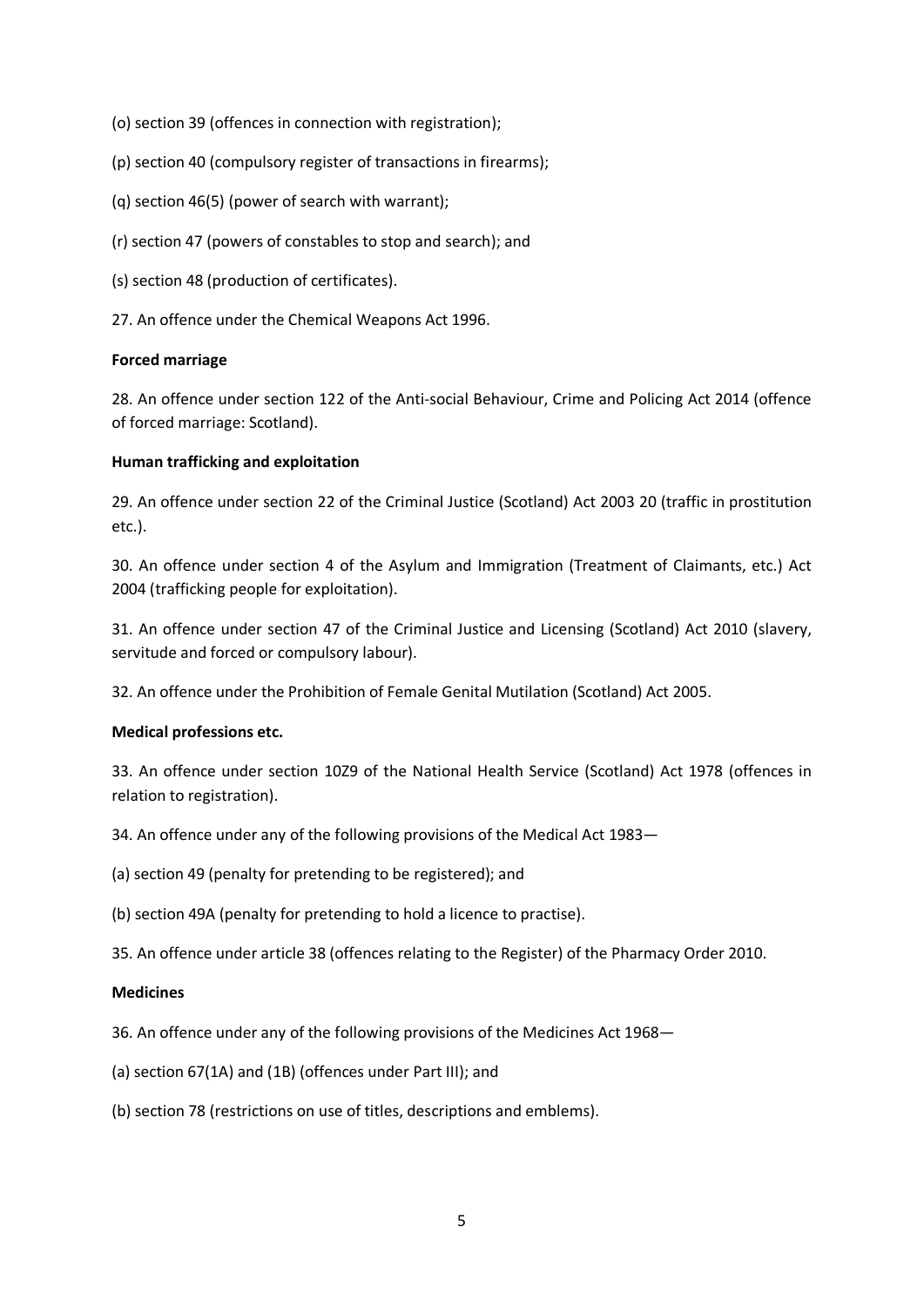- (o) section 39 (offences in connection with registration);
- (p) section 40 (compulsory register of transactions in firearms);
- (q) section 46(5) (power of search with warrant);
- (r) section 47 (powers of constables to stop and search); and
- (s) section 48 (production of certificates).
- 27. An offence under the Chemical Weapons Act 1996.

### **Forced marriage**

28. An offence under section 122 of the Anti-social Behaviour, Crime and Policing Act 2014 (offence of forced marriage: Scotland).

## **Human trafficking and exploitation**

29. An offence under section 22 of the Criminal Justice (Scotland) Act 2003 20 (traffic in prostitution etc.).

30. An offence under section 4 of the Asylum and Immigration (Treatment of Claimants, etc.) Act 2004 (trafficking people for exploitation).

31. An offence under section 47 of the Criminal Justice and Licensing (Scotland) Act 2010 (slavery, servitude and forced or compulsory labour).

32. An offence under the Prohibition of Female Genital Mutilation (Scotland) Act 2005.

### **Medical professions etc.**

33. An offence under section 10Z9 of the National Health Service (Scotland) Act 1978 (offences in relation to registration).

34. An offence under any of the following provisions of the Medical Act 1983—

(a) section 49 (penalty for pretending to be registered); and

(b) section 49A (penalty for pretending to hold a licence to practise).

35. An offence under article 38 (offences relating to the Register) of the Pharmacy Order 2010.

# **Medicines**

36. An offence under any of the following provisions of the Medicines Act 1968—

- (a) section 67(1A) and (1B) (offences under Part III); and
- (b) section 78 (restrictions on use of titles, descriptions and emblems).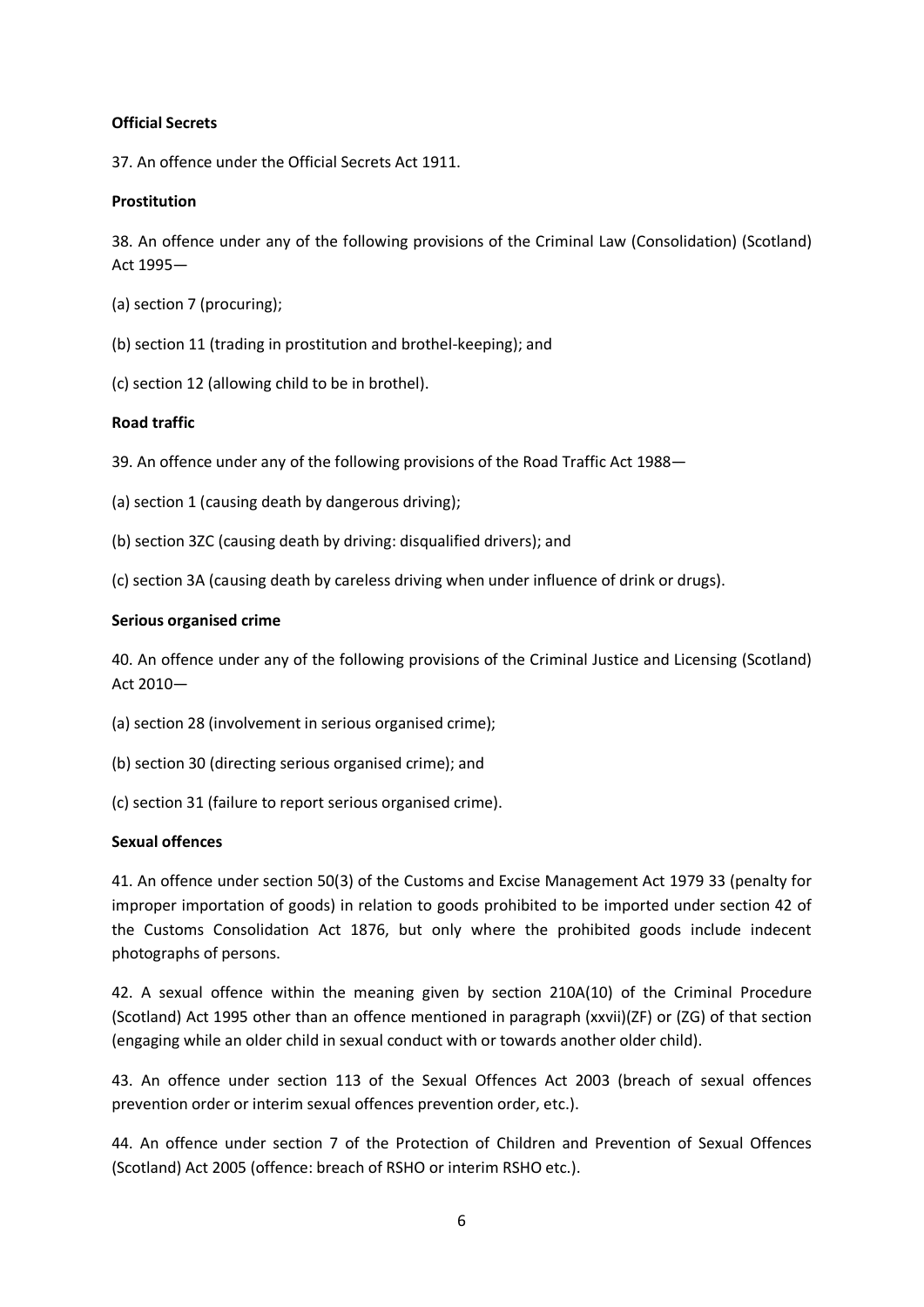### **Official Secrets**

37. An offence under the Official Secrets Act 1911.

## **Prostitution**

38. An offence under any of the following provisions of the Criminal Law (Consolidation) (Scotland) Act 1995—

- (a) section 7 (procuring);
- (b) section 11 (trading in prostitution and brothel-keeping); and
- (c) section 12 (allowing child to be in brothel).

## **Road traffic**

39. An offence under any of the following provisions of the Road Traffic Act 1988—

- (a) section 1 (causing death by dangerous driving);
- (b) section 3ZC (causing death by driving: disqualified drivers); and

(c) section 3A (causing death by careless driving when under influence of drink or drugs).

### **Serious organised crime**

40. An offence under any of the following provisions of the Criminal Justice and Licensing (Scotland) Act 2010—

- (a) section 28 (involvement in serious organised crime);
- (b) section 30 (directing serious organised crime); and
- (c) section 31 (failure to report serious organised crime).

### **Sexual offences**

41. An offence under section 50(3) of the Customs and Excise Management Act 1979 33 (penalty for improper importation of goods) in relation to goods prohibited to be imported under section 42 of the Customs Consolidation Act 1876, but only where the prohibited goods include indecent photographs of persons.

42. A sexual offence within the meaning given by section 210A(10) of the Criminal Procedure (Scotland) Act 1995 other than an offence mentioned in paragraph (xxvii)(ZF) or (ZG) of that section (engaging while an older child in sexual conduct with or towards another older child).

43. An offence under section 113 of the Sexual Offences Act 2003 (breach of sexual offences prevention order or interim sexual offences prevention order, etc.).

44. An offence under section 7 of the Protection of Children and Prevention of Sexual Offences (Scotland) Act 2005 (offence: breach of RSHO or interim RSHO etc.).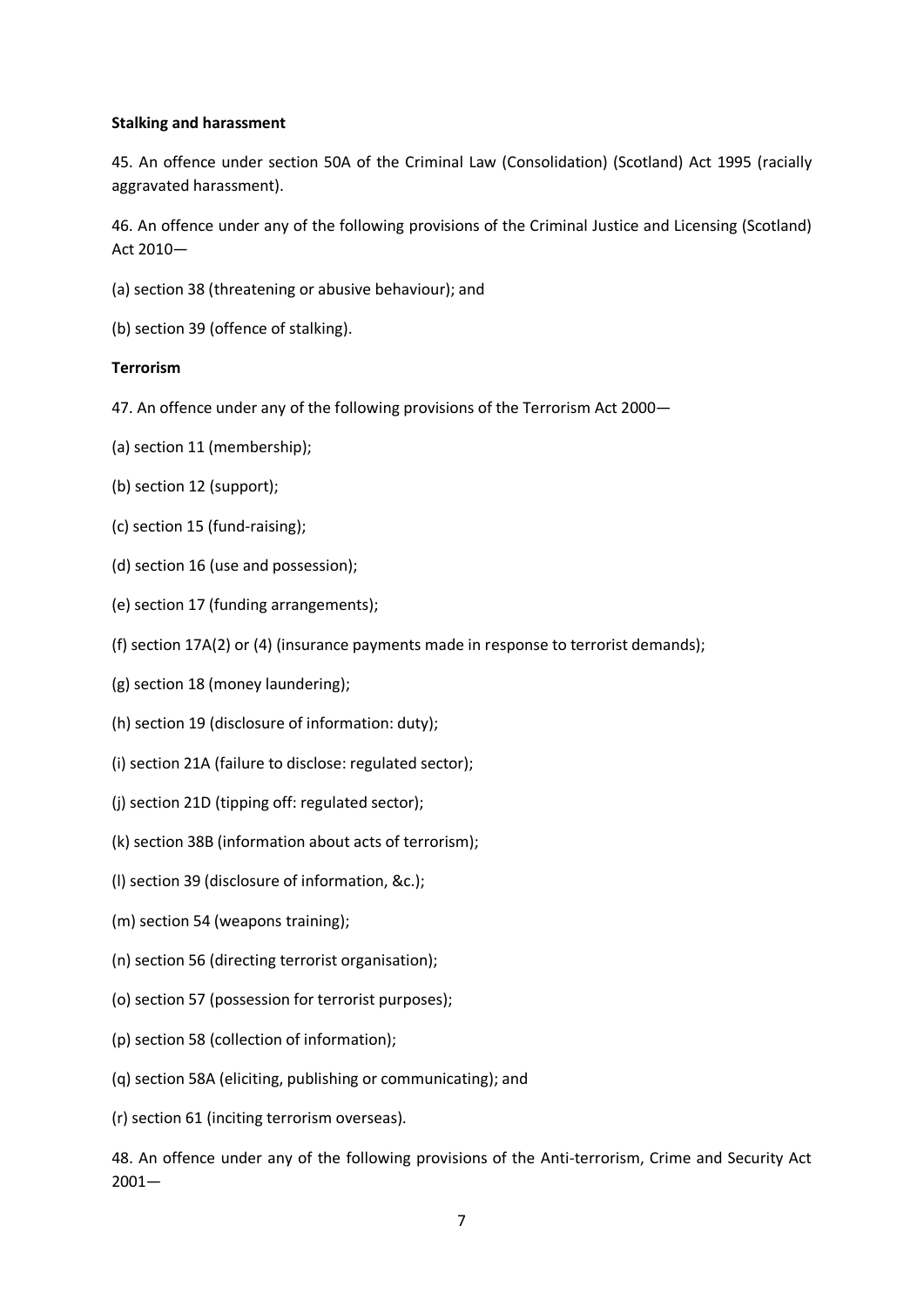### **Stalking and harassment**

45. An offence under section 50A of the Criminal Law (Consolidation) (Scotland) Act 1995 (racially aggravated harassment).

46. An offence under any of the following provisions of the Criminal Justice and Licensing (Scotland) Act 2010—

- (a) section 38 (threatening or abusive behaviour); and
- (b) section 39 (offence of stalking).

## **Terrorism**

- 47. An offence under any of the following provisions of the Terrorism Act 2000—
- (a) section 11 (membership);
- (b) section 12 (support);
- (c) section 15 (fund-raising);
- (d) section 16 (use and possession);
- (e) section 17 (funding arrangements);
- (f) section 17A(2) or (4) (insurance payments made in response to terrorist demands);
- (g) section 18 (money laundering);
- (h) section 19 (disclosure of information: duty);
- (i) section 21A (failure to disclose: regulated sector);
- (j) section 21D (tipping off: regulated sector);
- (k) section 38B (information about acts of terrorism);
- (l) section 39 (disclosure of information, &c.);
- (m) section 54 (weapons training);
- (n) section 56 (directing terrorist organisation);
- (o) section 57 (possession for terrorist purposes);
- (p) section 58 (collection of information);
- (q) section 58A (eliciting, publishing or communicating); and

(r) section 61 (inciting terrorism overseas).

48. An offence under any of the following provisions of the Anti-terrorism, Crime and Security Act 2001—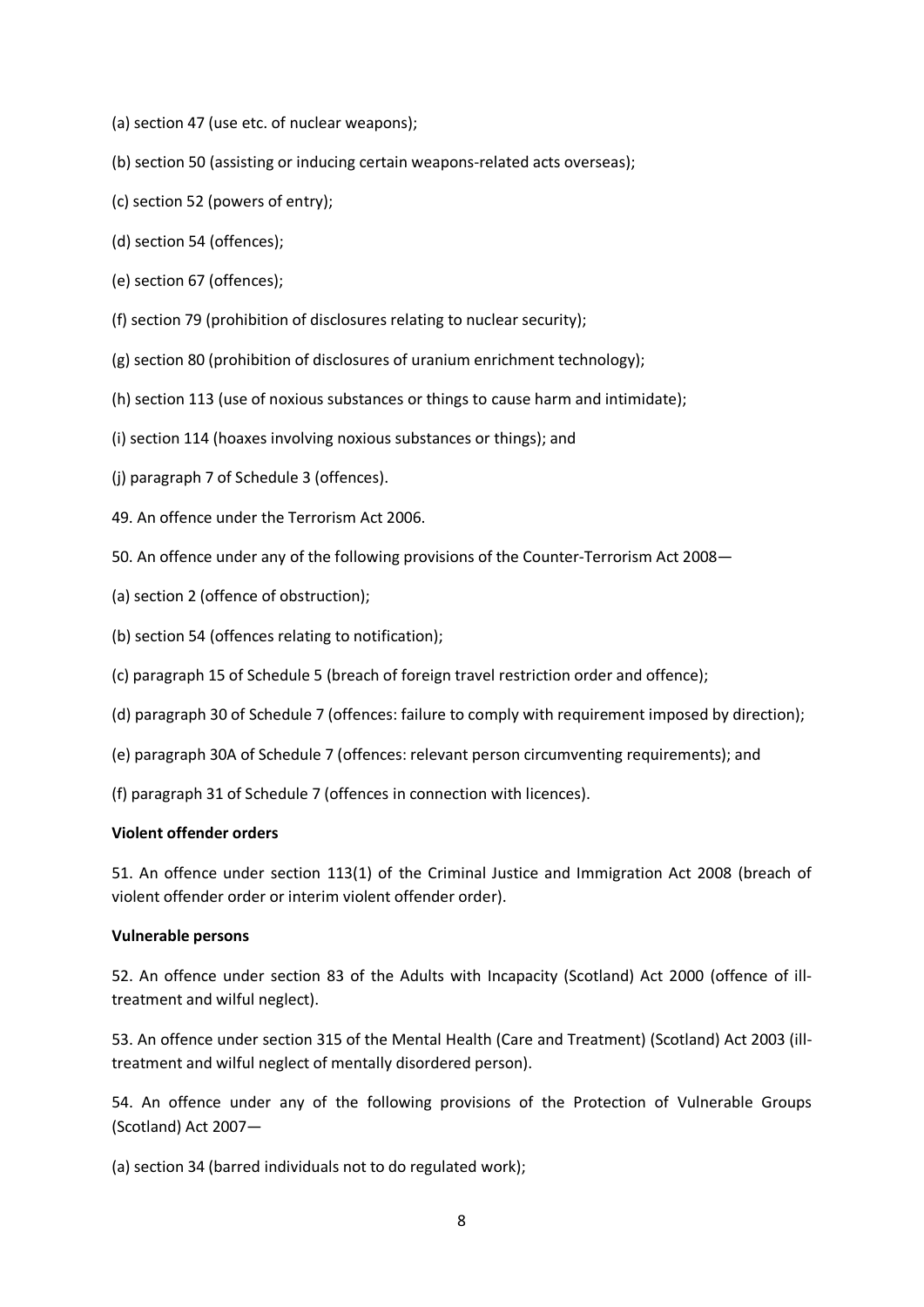- (a) section 47 (use etc. of nuclear weapons);
- (b) section 50 (assisting or inducing certain weapons-related acts overseas);
- (c) section 52 (powers of entry);
- (d) section 54 (offences);
- (e) section 67 (offences);
- (f) section 79 (prohibition of disclosures relating to nuclear security);
- (g) section 80 (prohibition of disclosures of uranium enrichment technology);
- (h) section 113 (use of noxious substances or things to cause harm and intimidate);
- (i) section 114 (hoaxes involving noxious substances or things); and
- (j) paragraph 7 of Schedule 3 (offences).
- 49. An offence under the Terrorism Act 2006.
- 50. An offence under any of the following provisions of the Counter-Terrorism Act 2008—
- (a) section 2 (offence of obstruction);
- (b) section 54 (offences relating to notification);
- (c) paragraph 15 of Schedule 5 (breach of foreign travel restriction order and offence);
- (d) paragraph 30 of Schedule 7 (offences: failure to comply with requirement imposed by direction);
- (e) paragraph 30A of Schedule 7 (offences: relevant person circumventing requirements); and
- (f) paragraph 31 of Schedule 7 (offences in connection with licences).

### **Violent offender orders**

51. An offence under section 113(1) of the Criminal Justice and Immigration Act 2008 (breach of violent offender order or interim violent offender order).

### **Vulnerable persons**

52. An offence under section 83 of the Adults with Incapacity (Scotland) Act 2000 (offence of illtreatment and wilful neglect).

53. An offence under section 315 of the Mental Health (Care and Treatment) (Scotland) Act 2003 (illtreatment and wilful neglect of mentally disordered person).

54. An offence under any of the following provisions of the Protection of Vulnerable Groups (Scotland) Act 2007—

(a) section 34 (barred individuals not to do regulated work);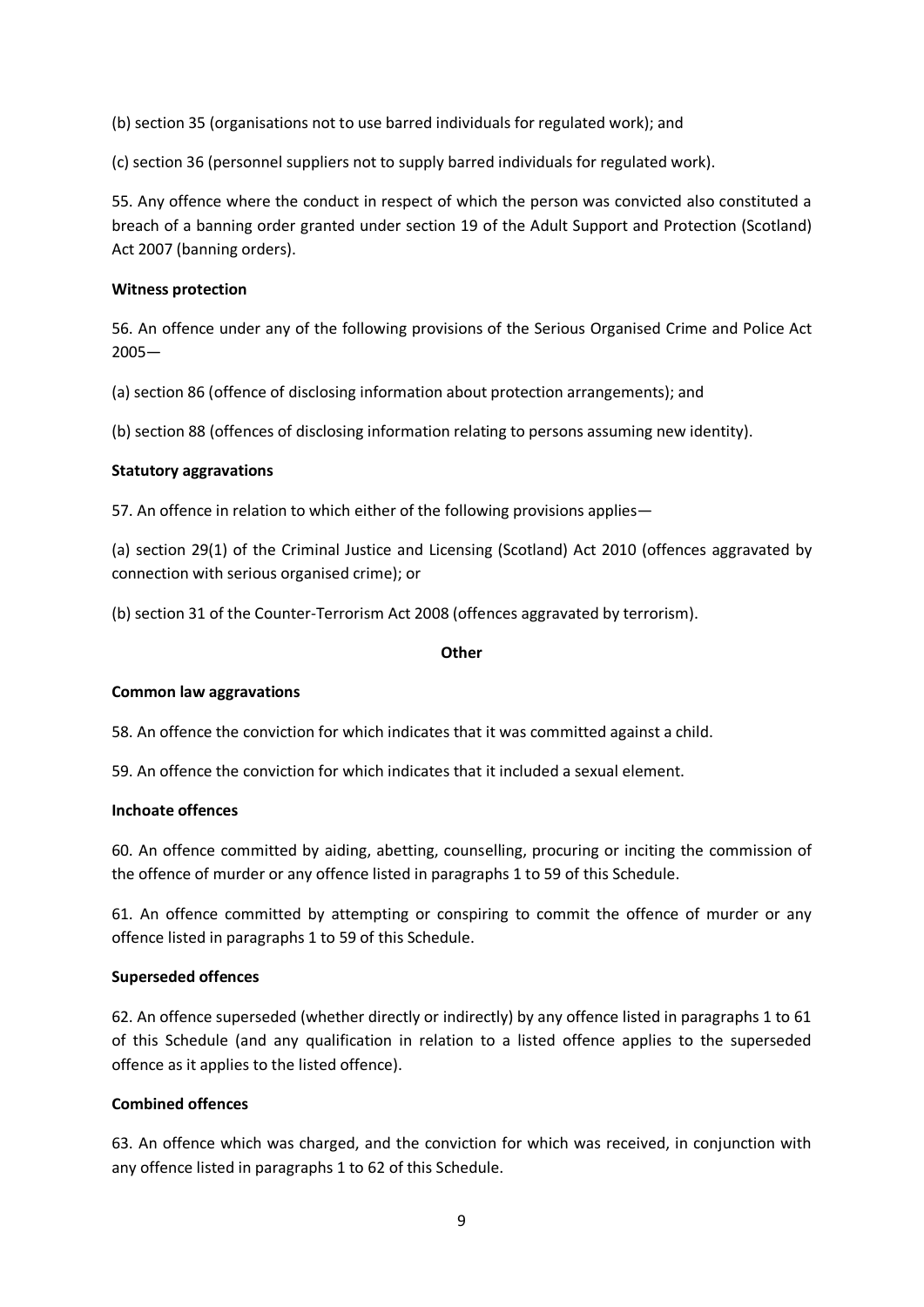(b) section 35 (organisations not to use barred individuals for regulated work); and

(c) section 36 (personnel suppliers not to supply barred individuals for regulated work).

55. Any offence where the conduct in respect of which the person was convicted also constituted a breach of a banning order granted under section 19 of the Adult Support and Protection (Scotland) Act 2007 (banning orders).

### **Witness protection**

56. An offence under any of the following provisions of the Serious Organised Crime and Police Act 2005—

(a) section 86 (offence of disclosing information about protection arrangements); and

(b) section 88 (offences of disclosing information relating to persons assuming new identity).

## **Statutory aggravations**

57. An offence in relation to which either of the following provisions applies—

(a) section 29(1) of the Criminal Justice and Licensing (Scotland) Act 2010 (offences aggravated by connection with serious organised crime); or

(b) section 31 of the Counter-Terrorism Act 2008 (offences aggravated by terrorism).

### **Other**

### **Common law aggravations**

58. An offence the conviction for which indicates that it was committed against a child.

59. An offence the conviction for which indicates that it included a sexual element.

### **Inchoate offences**

60. An offence committed by aiding, abetting, counselling, procuring or inciting the commission of the offence of murder or any offence listed in paragraphs 1 to 59 of this Schedule.

61. An offence committed by attempting or conspiring to commit the offence of murder or any offence listed in paragraphs 1 to 59 of this Schedule.

### **Superseded offences**

62. An offence superseded (whether directly or indirectly) by any offence listed in paragraphs 1 to 61 of this Schedule (and any qualification in relation to a listed offence applies to the superseded offence as it applies to the listed offence).

# **Combined offences**

63. An offence which was charged, and the conviction for which was received, in conjunction with any offence listed in paragraphs 1 to 62 of this Schedule.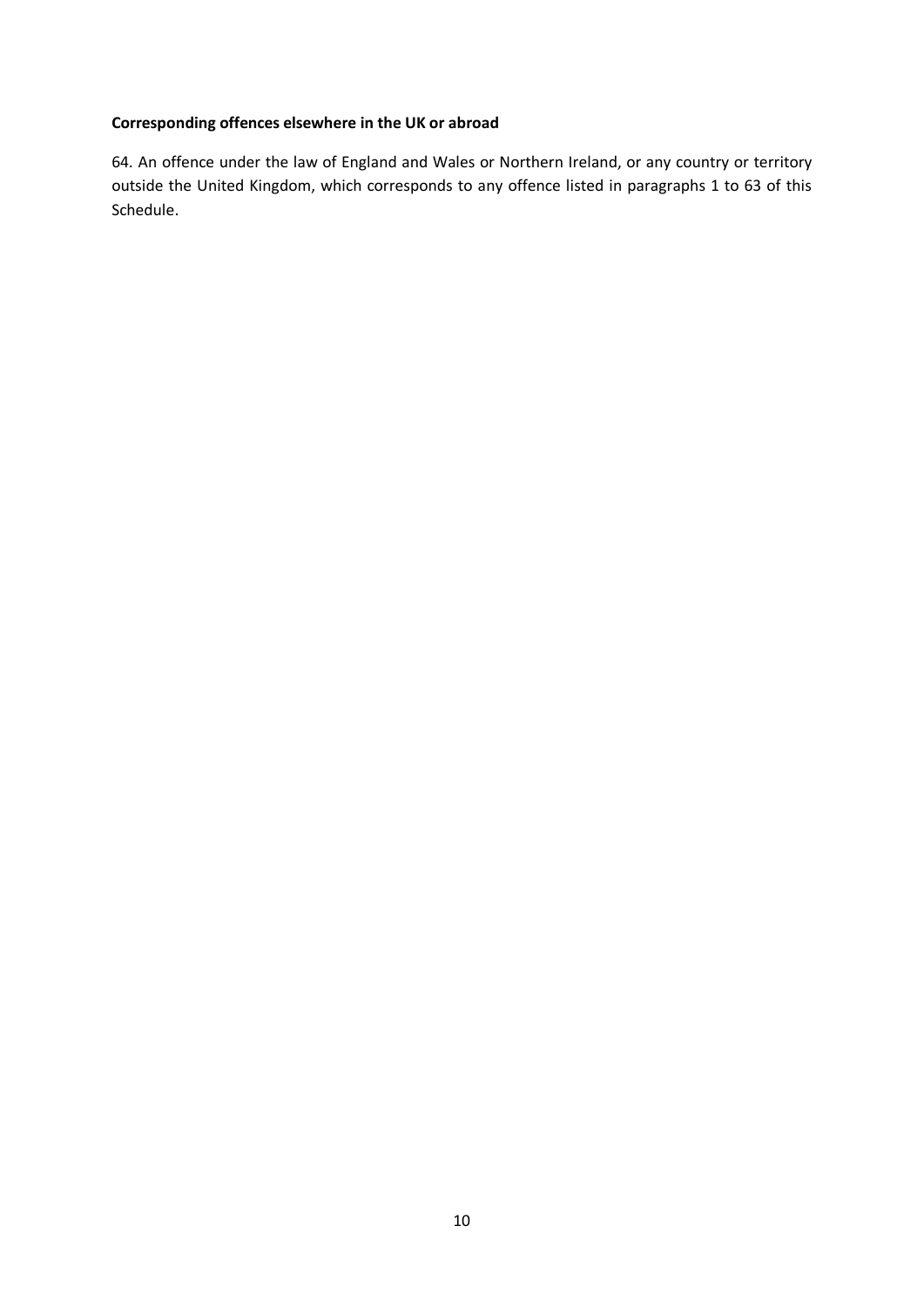# **Corresponding offences elsewhere in the UK or abroad**

64. An offence under the law of England and Wales or Northern Ireland, or any country or territory outside the United Kingdom, which corresponds to any offence listed in paragraphs 1 to 63 of this Schedule.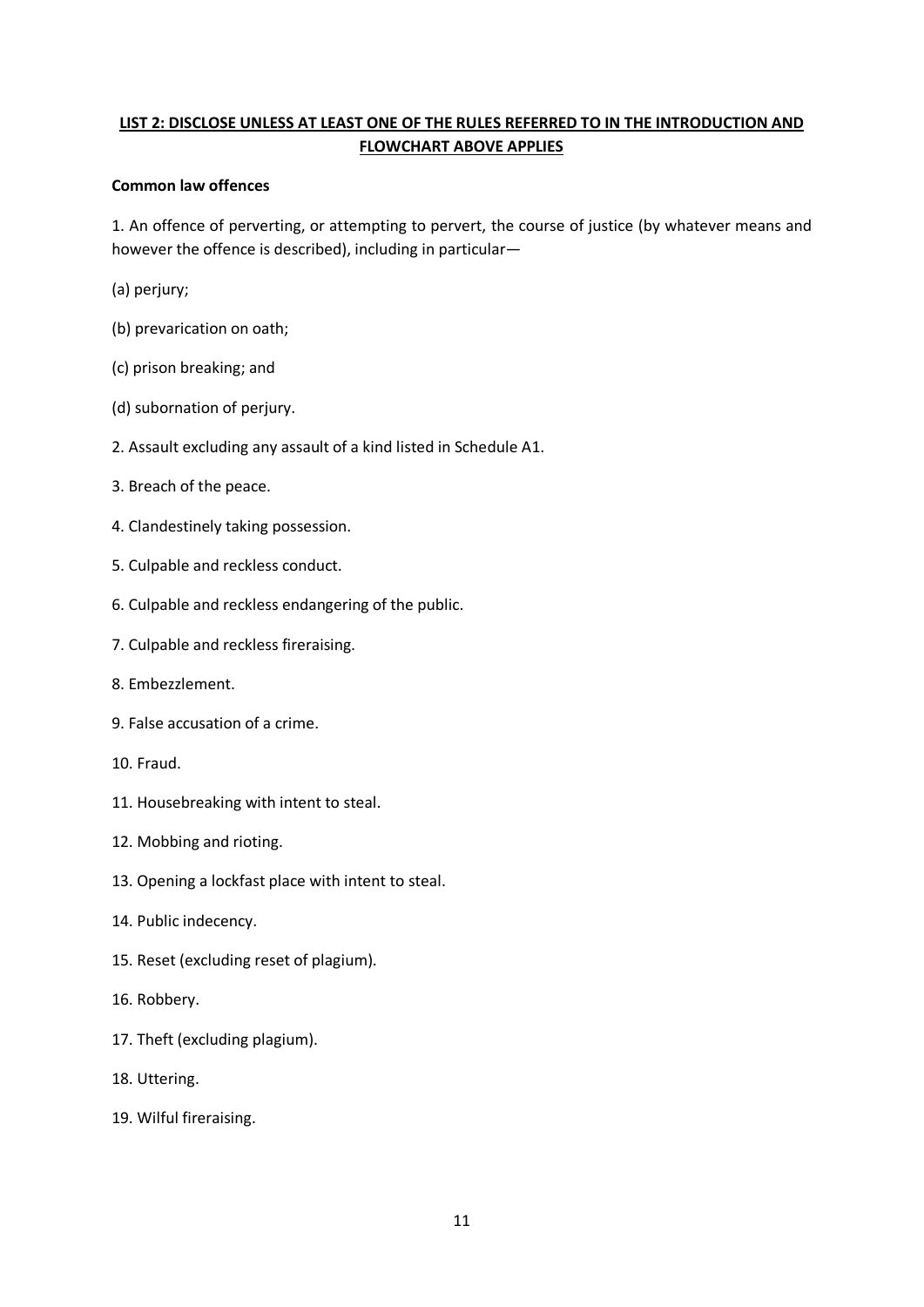# **LIST 2: DISCLOSE UNLESS AT LEAST ONE OF THE RULES REFERRED TO IN THE INTRODUCTION AND FLOWCHART ABOVE APPLIES**

## **Common law offences**

1. An offence of perverting, or attempting to pervert, the course of justice (by whatever means and however the offence is described), including in particular—

- (a) perjury;
- (b) prevarication on oath;
- (c) prison breaking; and
- (d) subornation of perjury.
- 2. Assault excluding any assault of a kind listed in Schedule A1.
- 3. Breach of the peace.
- 4. Clandestinely taking possession.
- 5. Culpable and reckless conduct.
- 6. Culpable and reckless endangering of the public.
- 7. Culpable and reckless fireraising.
- 8. Embezzlement.
- 9. False accusation of a crime.
- 10. Fraud.
- 11. Housebreaking with intent to steal.
- 12. Mobbing and rioting.
- 13. Opening a lockfast place with intent to steal.
- 14. Public indecency.
- 15. Reset (excluding reset of plagium).
- 16. Robbery.
- 17. Theft (excluding plagium).
- 18. Uttering.
- 19. Wilful fireraising.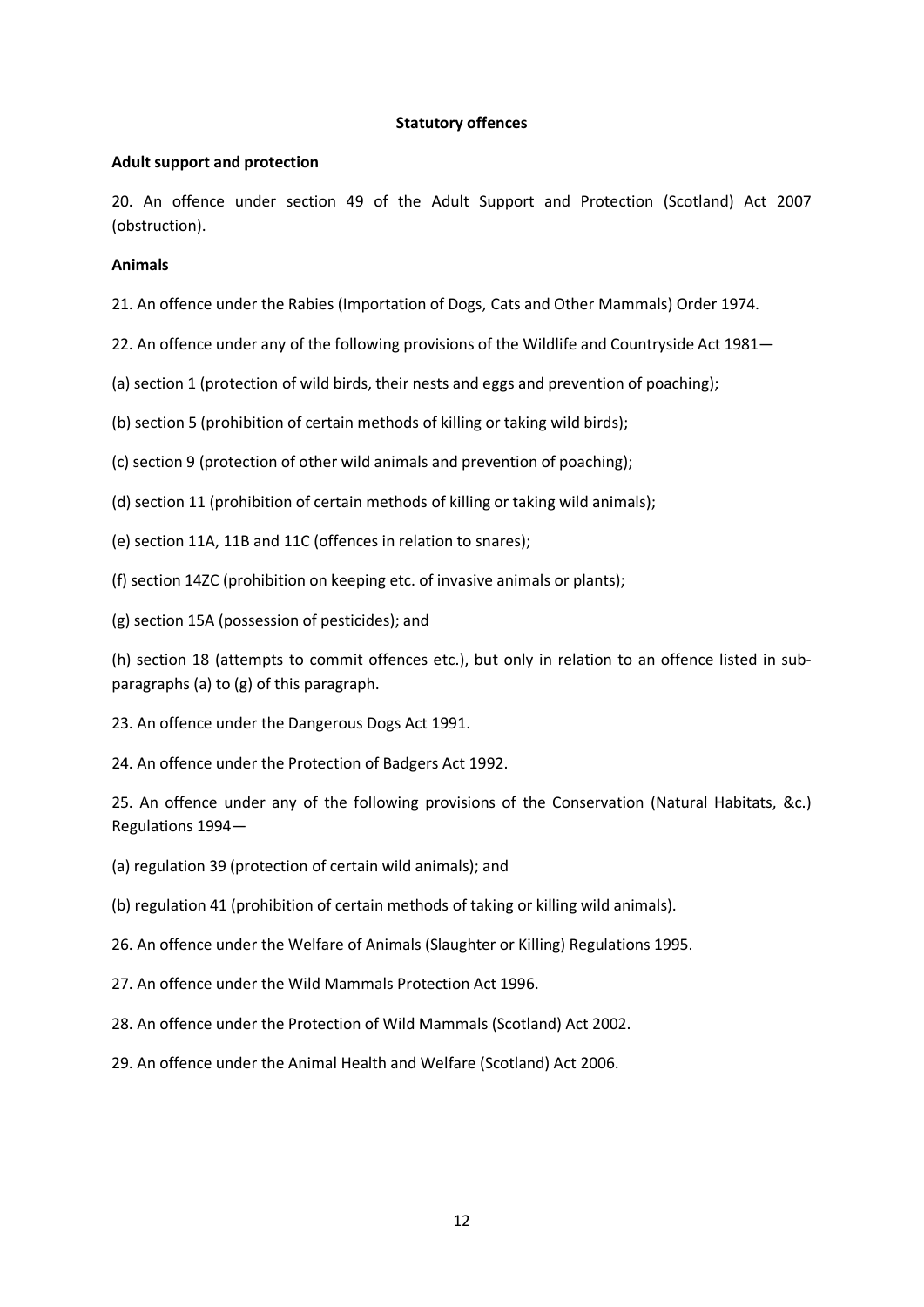### **Statutory offences**

### **Adult support and protection**

20. An offence under section 49 of the Adult Support and Protection (Scotland) Act 2007 (obstruction).

## **Animals**

21. An offence under the Rabies (Importation of Dogs, Cats and Other Mammals) Order 1974.

- 22. An offence under any of the following provisions of the Wildlife and Countryside Act 1981—
- (a) section 1 (protection of wild birds, their nests and eggs and prevention of poaching);
- (b) section 5 (prohibition of certain methods of killing or taking wild birds);
- (c) section 9 (protection of other wild animals and prevention of poaching);
- (d) section 11 (prohibition of certain methods of killing or taking wild animals);
- (e) section 11A, 11B and 11C (offences in relation to snares);
- (f) section 14ZC (prohibition on keeping etc. of invasive animals or plants);
- (g) section 15A (possession of pesticides); and

(h) section 18 (attempts to commit offences etc.), but only in relation to an offence listed in subparagraphs (a) to (g) of this paragraph.

- 23. An offence under the Dangerous Dogs Act 1991.
- 24. An offence under the Protection of Badgers Act 1992.

25. An offence under any of the following provisions of the Conservation (Natural Habitats, &c.) Regulations 1994—

- (a) regulation 39 (protection of certain wild animals); and
- (b) regulation 41 (prohibition of certain methods of taking or killing wild animals).
- 26. An offence under the Welfare of Animals (Slaughter or Killing) Regulations 1995.
- 27. An offence under the Wild Mammals Protection Act 1996.
- 28. An offence under the Protection of Wild Mammals (Scotland) Act 2002.
- 29. An offence under the Animal Health and Welfare (Scotland) Act 2006.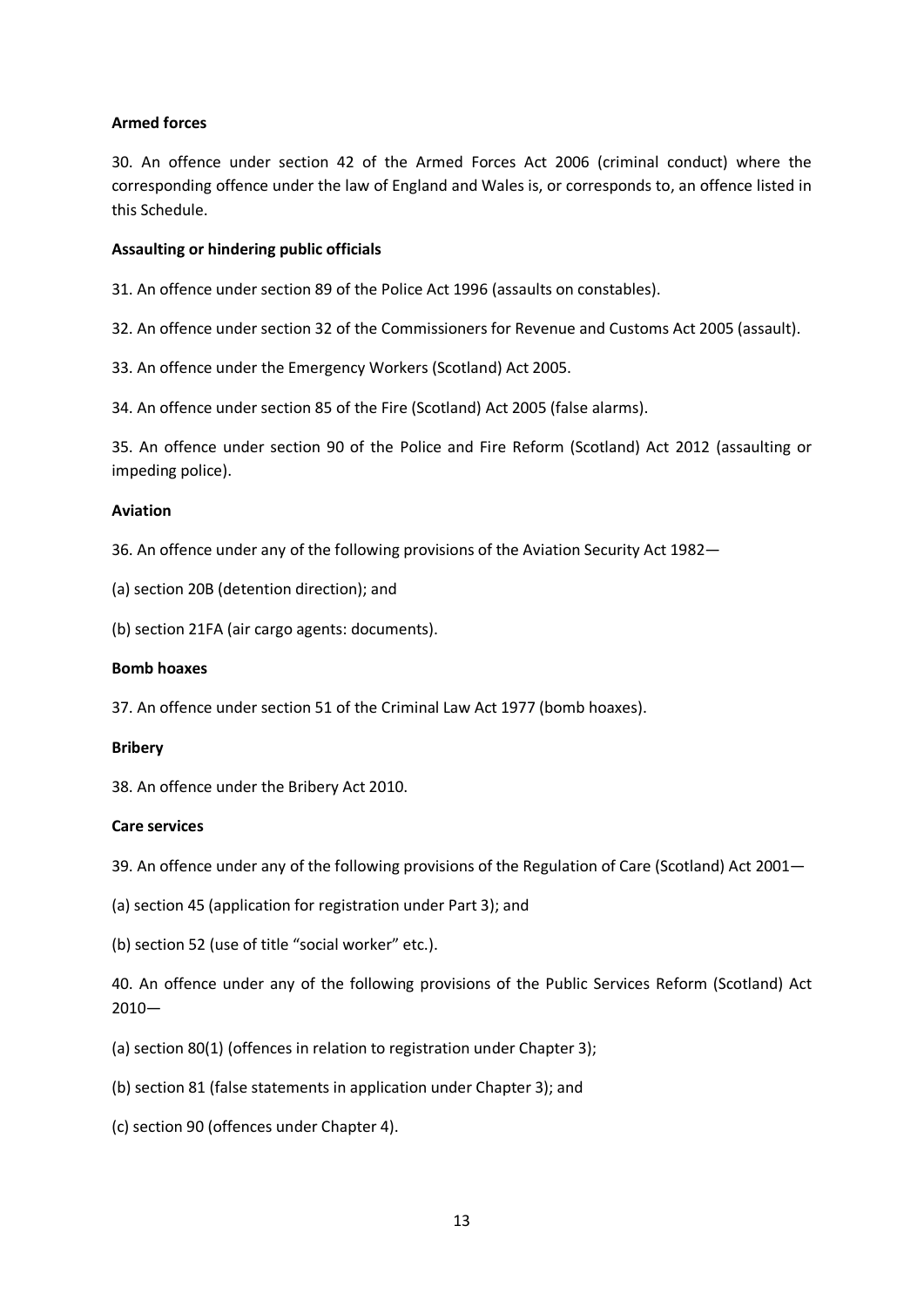## **Armed forces**

30. An offence under section 42 of the Armed Forces Act 2006 (criminal conduct) where the corresponding offence under the law of England and Wales is, or corresponds to, an offence listed in this Schedule.

### **Assaulting or hindering public officials**

31. An offence under section 89 of the Police Act 1996 (assaults on constables).

32. An offence under section 32 of the Commissioners for Revenue and Customs Act 2005 (assault).

33. An offence under the Emergency Workers (Scotland) Act 2005.

34. An offence under section 85 of the Fire (Scotland) Act 2005 (false alarms).

35. An offence under section 90 of the Police and Fire Reform (Scotland) Act 2012 (assaulting or impeding police).

### **Aviation**

36. An offence under any of the following provisions of the Aviation Security Act 1982—

(a) section 20B (detention direction); and

(b) section 21FA (air cargo agents: documents).

### **Bomb hoaxes**

37. An offence under section 51 of the Criminal Law Act 1977 (bomb hoaxes).

### **Bribery**

38. An offence under the Bribery Act 2010.

### **Care services**

39. An offence under any of the following provisions of the Regulation of Care (Scotland) Act 2001—

- (a) section 45 (application for registration under Part 3); and
- (b) section 52 (use of title "social worker" etc.).

40. An offence under any of the following provisions of the Public Services Reform (Scotland) Act 2010—

- (a) section 80(1) (offences in relation to registration under Chapter 3);
- (b) section 81 (false statements in application under Chapter 3); and
- (c) section 90 (offences under Chapter 4).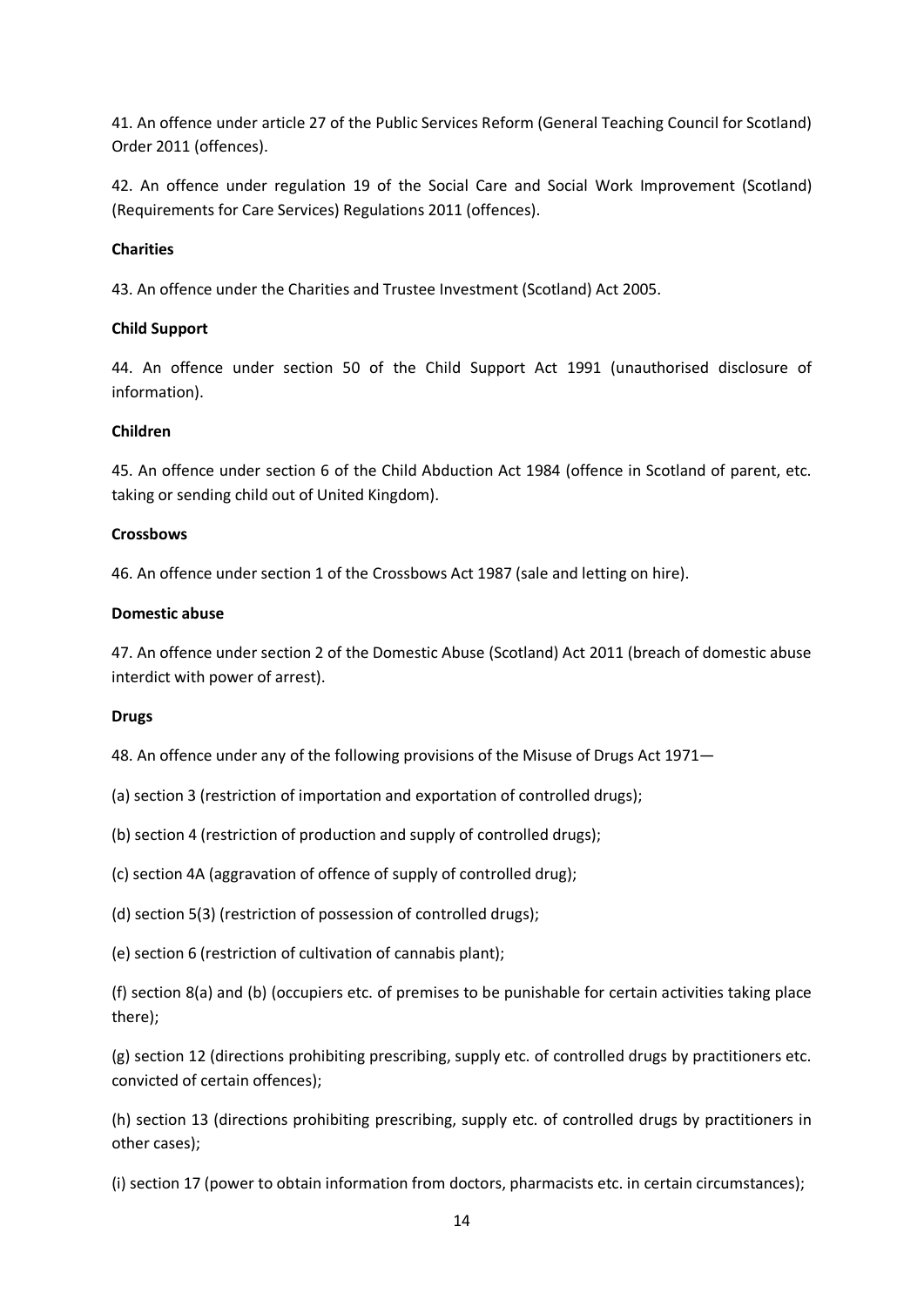41. An offence under article 27 of the Public Services Reform (General Teaching Council for Scotland) Order 2011 (offences).

42. An offence under regulation 19 of the Social Care and Social Work Improvement (Scotland) (Requirements for Care Services) Regulations 2011 (offences).

# **Charities**

43. An offence under the Charities and Trustee Investment (Scotland) Act 2005.

# **Child Support**

44. An offence under section 50 of the Child Support Act 1991 (unauthorised disclosure of information).

# **Children**

45. An offence under section 6 of the Child Abduction Act 1984 (offence in Scotland of parent, etc. taking or sending child out of United Kingdom).

## **Crossbows**

46. An offence under section 1 of the Crossbows Act 1987 (sale and letting on hire).

## **Domestic abuse**

47. An offence under section 2 of the Domestic Abuse (Scotland) Act 2011 (breach of domestic abuse interdict with power of arrest).

### **Drugs**

48. An offence under any of the following provisions of the Misuse of Drugs Act 1971—

- (a) section 3 (restriction of importation and exportation of controlled drugs);
- (b) section 4 (restriction of production and supply of controlled drugs);
- (c) section 4A (aggravation of offence of supply of controlled drug);
- (d) section 5(3) (restriction of possession of controlled drugs);
- (e) section 6 (restriction of cultivation of cannabis plant);

(f) section 8(a) and (b) (occupiers etc. of premises to be punishable for certain activities taking place there);

(g) section 12 (directions prohibiting prescribing, supply etc. of controlled drugs by practitioners etc. convicted of certain offences);

(h) section 13 (directions prohibiting prescribing, supply etc. of controlled drugs by practitioners in other cases);

(i) section 17 (power to obtain information from doctors, pharmacists etc. in certain circumstances);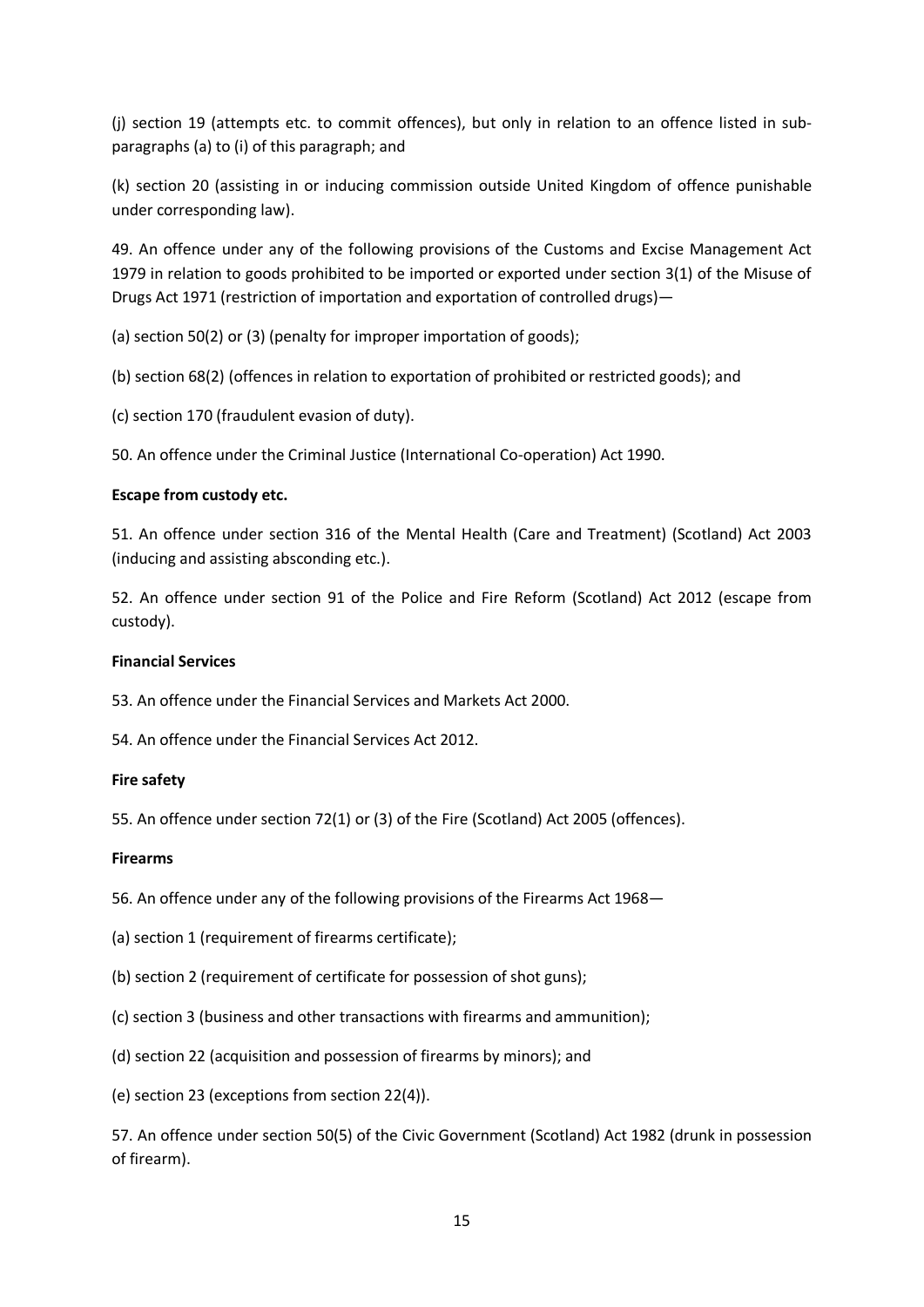(j) section 19 (attempts etc. to commit offences), but only in relation to an offence listed in subparagraphs (a) to (i) of this paragraph; and

(k) section 20 (assisting in or inducing commission outside United Kingdom of offence punishable under corresponding law).

49. An offence under any of the following provisions of the Customs and Excise Management Act 1979 in relation to goods prohibited to be imported or exported under section 3(1) of the Misuse of Drugs Act 1971 (restriction of importation and exportation of controlled drugs)—

(a) section 50(2) or (3) (penalty for improper importation of goods);

(b) section 68(2) (offences in relation to exportation of prohibited or restricted goods); and

(c) section 170 (fraudulent evasion of duty).

50. An offence under the Criminal Justice (International Co-operation) Act 1990.

# **Escape from custody etc.**

51. An offence under section 316 of the Mental Health (Care and Treatment) (Scotland) Act 2003 (inducing and assisting absconding etc.).

52. An offence under section 91 of the Police and Fire Reform (Scotland) Act 2012 (escape from custody).

## **Financial Services**

53. An offence under the Financial Services and Markets Act 2000.

54. An offence under the Financial Services Act 2012.

# **Fire safety**

55. An offence under section 72(1) or (3) of the Fire (Scotland) Act 2005 (offences).

# **Firearms**

56. An offence under any of the following provisions of the Firearms Act 1968—

- (a) section 1 (requirement of firearms certificate);
- (b) section 2 (requirement of certificate for possession of shot guns);
- (c) section 3 (business and other transactions with firearms and ammunition);
- (d) section 22 (acquisition and possession of firearms by minors); and
- (e) section 23 (exceptions from section 22(4)).

57. An offence under section 50(5) of the Civic Government (Scotland) Act 1982 (drunk in possession of firearm).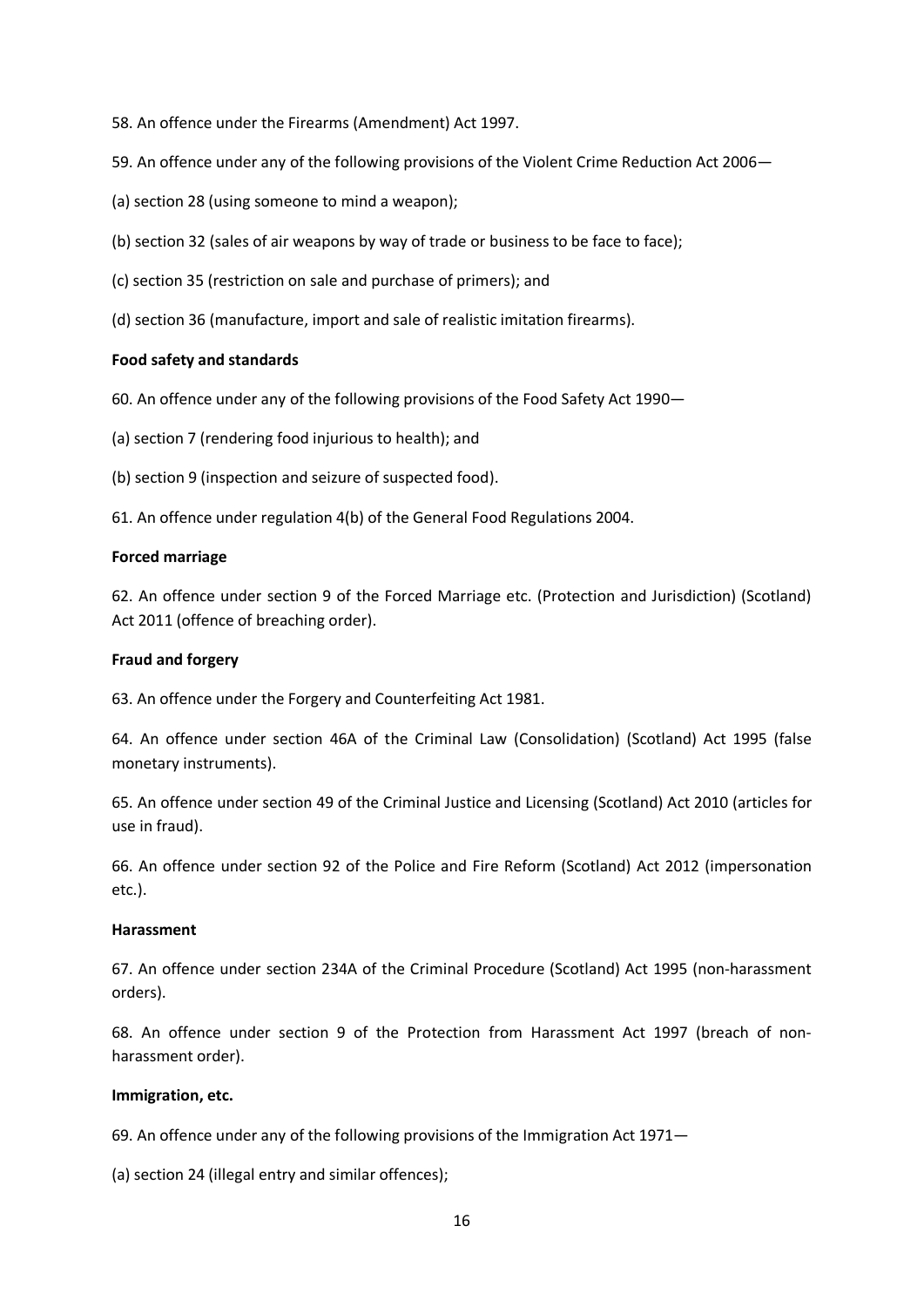- 58. An offence under the Firearms (Amendment) Act 1997.
- 59. An offence under any of the following provisions of the Violent Crime Reduction Act 2006—
- (a) section 28 (using someone to mind a weapon);
- (b) section 32 (sales of air weapons by way of trade or business to be face to face);
- (c) section 35 (restriction on sale and purchase of primers); and
- (d) section 36 (manufacture, import and sale of realistic imitation firearms).

### **Food safety and standards**

- 60. An offence under any of the following provisions of the Food Safety Act 1990—
- (a) section 7 (rendering food injurious to health); and
- (b) section 9 (inspection and seizure of suspected food).
- 61. An offence under regulation 4(b) of the General Food Regulations 2004.

### **Forced marriage**

62. An offence under section 9 of the Forced Marriage etc. (Protection and Jurisdiction) (Scotland) Act 2011 (offence of breaching order).

### **Fraud and forgery**

63. An offence under the Forgery and Counterfeiting Act 1981.

64. An offence under section 46A of the Criminal Law (Consolidation) (Scotland) Act 1995 (false monetary instruments).

65. An offence under section 49 of the Criminal Justice and Licensing (Scotland) Act 2010 (articles for use in fraud).

66. An offence under section 92 of the Police and Fire Reform (Scotland) Act 2012 (impersonation etc.).

### **Harassment**

67. An offence under section 234A of the Criminal Procedure (Scotland) Act 1995 (non-harassment orders).

68. An offence under section 9 of the Protection from Harassment Act 1997 (breach of nonharassment order).

### **Immigration, etc.**

69. An offence under any of the following provisions of the Immigration Act 1971—

(a) section 24 (illegal entry and similar offences);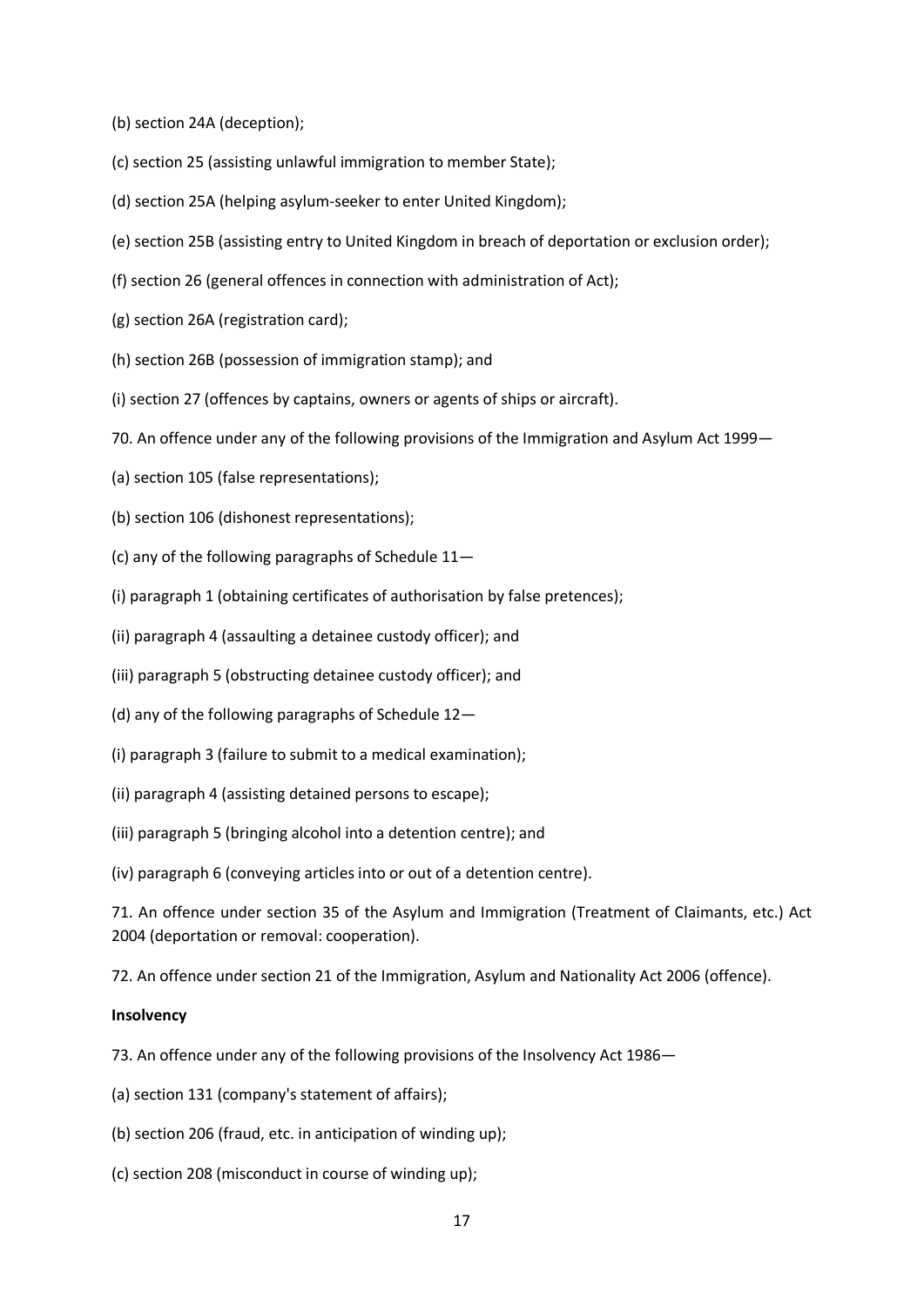- (b) section 24A (deception);
- (c) section 25 (assisting unlawful immigration to member State);
- (d) section 25A (helping asylum-seeker to enter United Kingdom);
- (e) section 25B (assisting entry to United Kingdom in breach of deportation or exclusion order);
- (f) section 26 (general offences in connection with administration of Act);
- (g) section 26A (registration card);
- (h) section 26B (possession of immigration stamp); and
- (i) section 27 (offences by captains, owners or agents of ships or aircraft).
- 70. An offence under any of the following provisions of the Immigration and Asylum Act 1999—
- (a) section 105 (false representations);
- (b) section 106 (dishonest representations);
- (c) any of the following paragraphs of Schedule 11—
- (i) paragraph 1 (obtaining certificates of authorisation by false pretences);
- (ii) paragraph 4 (assaulting a detainee custody officer); and
- (iii) paragraph 5 (obstructing detainee custody officer); and
- (d) any of the following paragraphs of Schedule 12—
- (i) paragraph 3 (failure to submit to a medical examination);
- (ii) paragraph 4 (assisting detained persons to escape);
- (iii) paragraph 5 (bringing alcohol into a detention centre); and

(iv) paragraph 6 (conveying articles into or out of a detention centre).

71. An offence under section 35 of the Asylum and Immigration (Treatment of Claimants, etc.) Act 2004 (deportation or removal: cooperation).

72. An offence under section 21 of the Immigration, Asylum and Nationality Act 2006 (offence).

#### **Insolvency**

- 73. An offence under any of the following provisions of the Insolvency Act 1986—
- (a) section 131 (company's statement of affairs);
- (b) section 206 (fraud, etc. in anticipation of winding up);
- (c) section 208 (misconduct in course of winding up);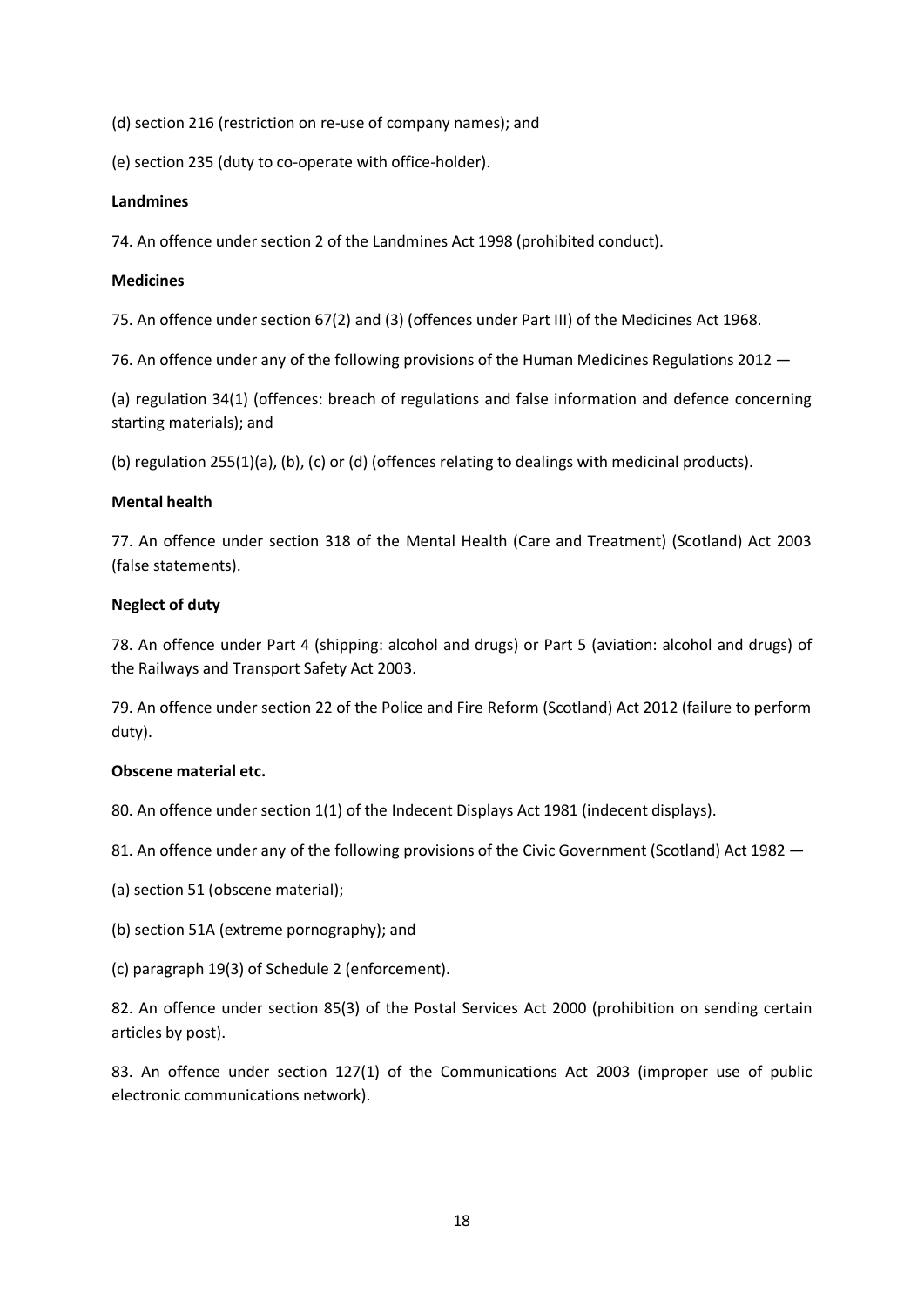(d) section 216 (restriction on re-use of company names); and

(e) section 235 (duty to co-operate with office-holder).

### **Landmines**

74. An offence under section 2 of the Landmines Act 1998 (prohibited conduct).

### **Medicines**

75. An offence under section 67(2) and (3) (offences under Part III) of the Medicines Act 1968.

76. An offence under any of the following provisions of the Human Medicines Regulations 2012 —

(a) regulation 34(1) (offences: breach of regulations and false information and defence concerning starting materials); and

(b) regulation 255(1)(a), (b), (c) or (d) (offences relating to dealings with medicinal products).

## **Mental health**

77. An offence under section 318 of the Mental Health (Care and Treatment) (Scotland) Act 2003 (false statements).

## **Neglect of duty**

78. An offence under Part 4 (shipping: alcohol and drugs) or Part 5 (aviation: alcohol and drugs) of the Railways and Transport Safety Act 2003.

79. An offence under section 22 of the Police and Fire Reform (Scotland) Act 2012 (failure to perform duty).

### **Obscene material etc.**

80. An offence under section 1(1) of the Indecent Displays Act 1981 (indecent displays).

81. An offence under any of the following provisions of the Civic Government (Scotland) Act 1982 –

- (a) section 51 (obscene material);
- (b) section 51A (extreme pornography); and
- (c) paragraph 19(3) of Schedule 2 (enforcement).

82. An offence under section 85(3) of the Postal Services Act 2000 (prohibition on sending certain articles by post).

83. An offence under section 127(1) of the Communications Act 2003 (improper use of public electronic communications network).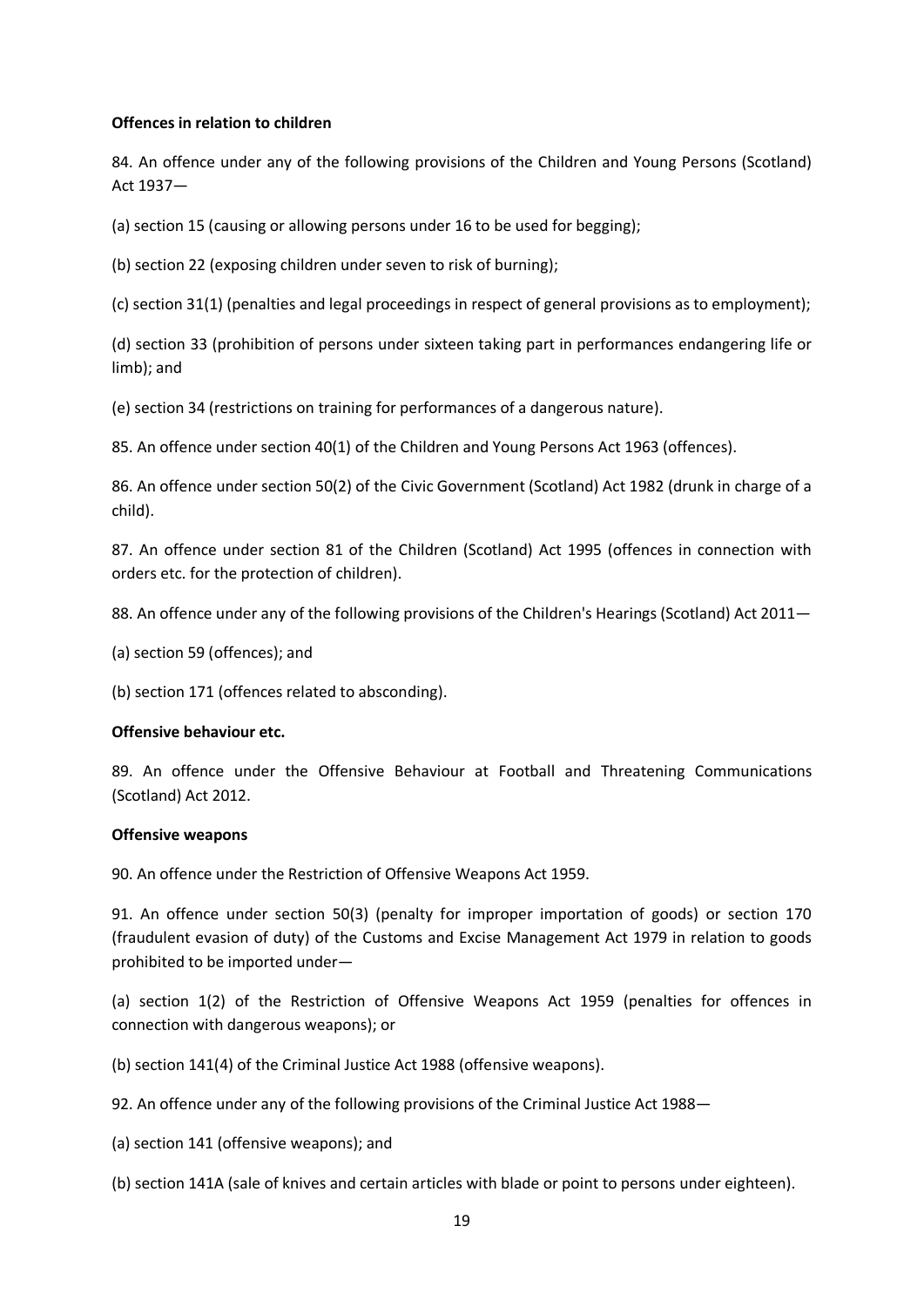### **Offences in relation to children**

84. An offence under any of the following provisions of the Children and Young Persons (Scotland) Act 1937—

(a) section 15 (causing or allowing persons under 16 to be used for begging);

(b) section 22 (exposing children under seven to risk of burning);

(c) section 31(1) (penalties and legal proceedings in respect of general provisions as to employment);

(d) section 33 (prohibition of persons under sixteen taking part in performances endangering life or limb); and

(e) section 34 (restrictions on training for performances of a dangerous nature).

85. An offence under section 40(1) of the Children and Young Persons Act 1963 (offences).

86. An offence under section 50(2) of the Civic Government (Scotland) Act 1982 (drunk in charge of a child).

87. An offence under section 81 of the Children (Scotland) Act 1995 (offences in connection with orders etc. for the protection of children).

88. An offence under any of the following provisions of the Children's Hearings (Scotland) Act 2011—

(a) section 59 (offences); and

(b) section 171 (offences related to absconding).

### **Offensive behaviour etc.**

89. An offence under the Offensive Behaviour at Football and Threatening Communications (Scotland) Act 2012.

### **Offensive weapons**

90. An offence under the Restriction of Offensive Weapons Act 1959.

91. An offence under section 50(3) (penalty for improper importation of goods) or section 170 (fraudulent evasion of duty) of the Customs and Excise Management Act 1979 in relation to goods prohibited to be imported under—

(a) section 1(2) of the Restriction of Offensive Weapons Act 1959 (penalties for offences in connection with dangerous weapons); or

(b) section 141(4) of the Criminal Justice Act 1988 (offensive weapons).

92. An offence under any of the following provisions of the Criminal Justice Act 1988—

(a) section 141 (offensive weapons); and

(b) section 141A (sale of knives and certain articles with blade or point to persons under eighteen).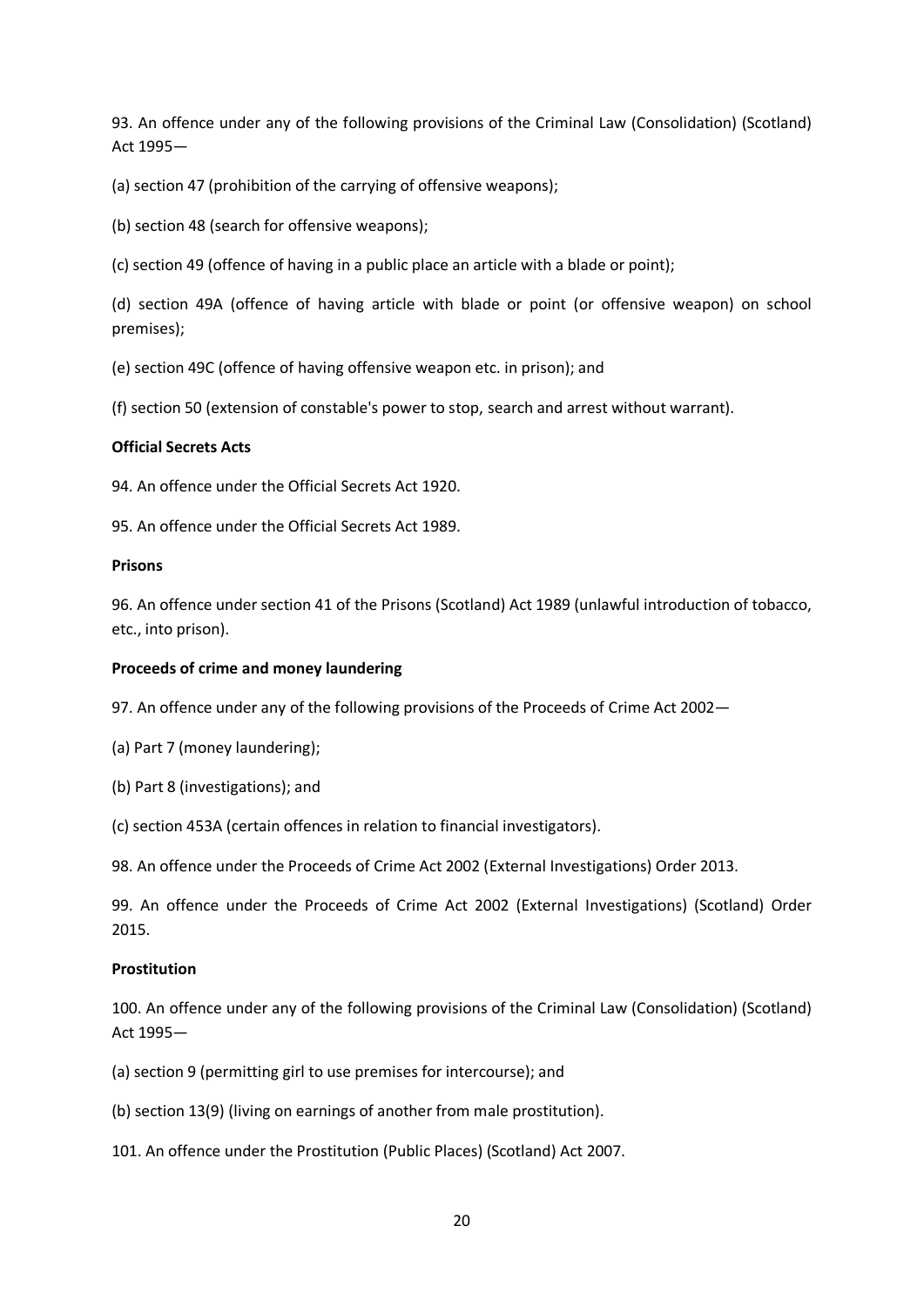93. An offence under any of the following provisions of the Criminal Law (Consolidation) (Scotland) Act 1995—

(a) section 47 (prohibition of the carrying of offensive weapons);

(b) section 48 (search for offensive weapons);

(c) section 49 (offence of having in a public place an article with a blade or point);

(d) section 49A (offence of having article with blade or point (or offensive weapon) on school premises);

(e) section 49C (offence of having offensive weapon etc. in prison); and

(f) section 50 (extension of constable's power to stop, search and arrest without warrant).

### **Official Secrets Acts**

94. An offence under the Official Secrets Act 1920.

95. An offence under the Official Secrets Act 1989.

### **Prisons**

96. An offence under section 41 of the Prisons (Scotland) Act 1989 (unlawful introduction of tobacco, etc., into prison).

### **Proceeds of crime and money laundering**

97. An offence under any of the following provisions of the Proceeds of Crime Act 2002—

- (a) Part 7 (money laundering);
- (b) Part 8 (investigations); and
- (c) section 453A (certain offences in relation to financial investigators).

98. An offence under the Proceeds of Crime Act 2002 (External Investigations) Order 2013.

99. An offence under the Proceeds of Crime Act 2002 (External Investigations) (Scotland) Order 2015.

### **Prostitution**

100. An offence under any of the following provisions of the Criminal Law (Consolidation) (Scotland) Act 1995—

- (a) section 9 (permitting girl to use premises for intercourse); and
- (b) section 13(9) (living on earnings of another from male prostitution).
- 101. An offence under the Prostitution (Public Places) (Scotland) Act 2007.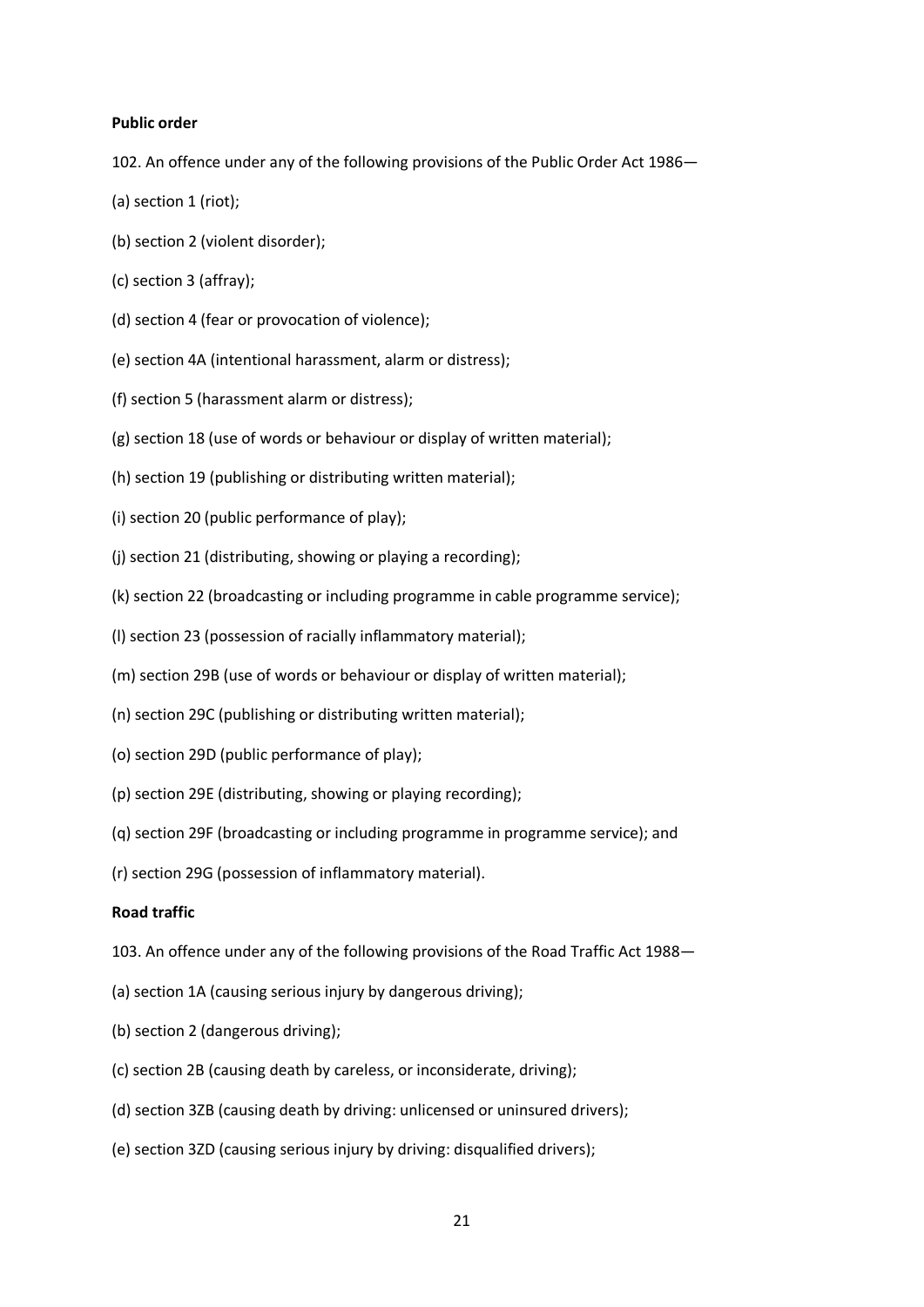#### **Public order**

102. An offence under any of the following provisions of the Public Order Act 1986—

- (a) section 1 (riot);
- (b) section 2 (violent disorder);
- (c) section 3 (affray);
- (d) section 4 (fear or provocation of violence);
- (e) section 4A (intentional harassment, alarm or distress);
- (f) section 5 (harassment alarm or distress);
- (g) section 18 (use of words or behaviour or display of written material);
- (h) section 19 (publishing or distributing written material);
- (i) section 20 (public performance of play);
- (j) section 21 (distributing, showing or playing a recording);
- (k) section 22 (broadcasting or including programme in cable programme service);
- (l) section 23 (possession of racially inflammatory material);
- (m) section 29B (use of words or behaviour or display of written material);
- (n) section 29C (publishing or distributing written material);
- (o) section 29D (public performance of play);
- (p) section 29E (distributing, showing or playing recording);
- (q) section 29F (broadcasting or including programme in programme service); and
- (r) section 29G (possession of inflammatory material).

### **Road traffic**

- 103. An offence under any of the following provisions of the Road Traffic Act 1988—
- (a) section 1A (causing serious injury by dangerous driving);
- (b) section 2 (dangerous driving);
- (c) section 2B (causing death by careless, or inconsiderate, driving);
- (d) section 3ZB (causing death by driving: unlicensed or uninsured drivers);
- (e) section 3ZD (causing serious injury by driving: disqualified drivers);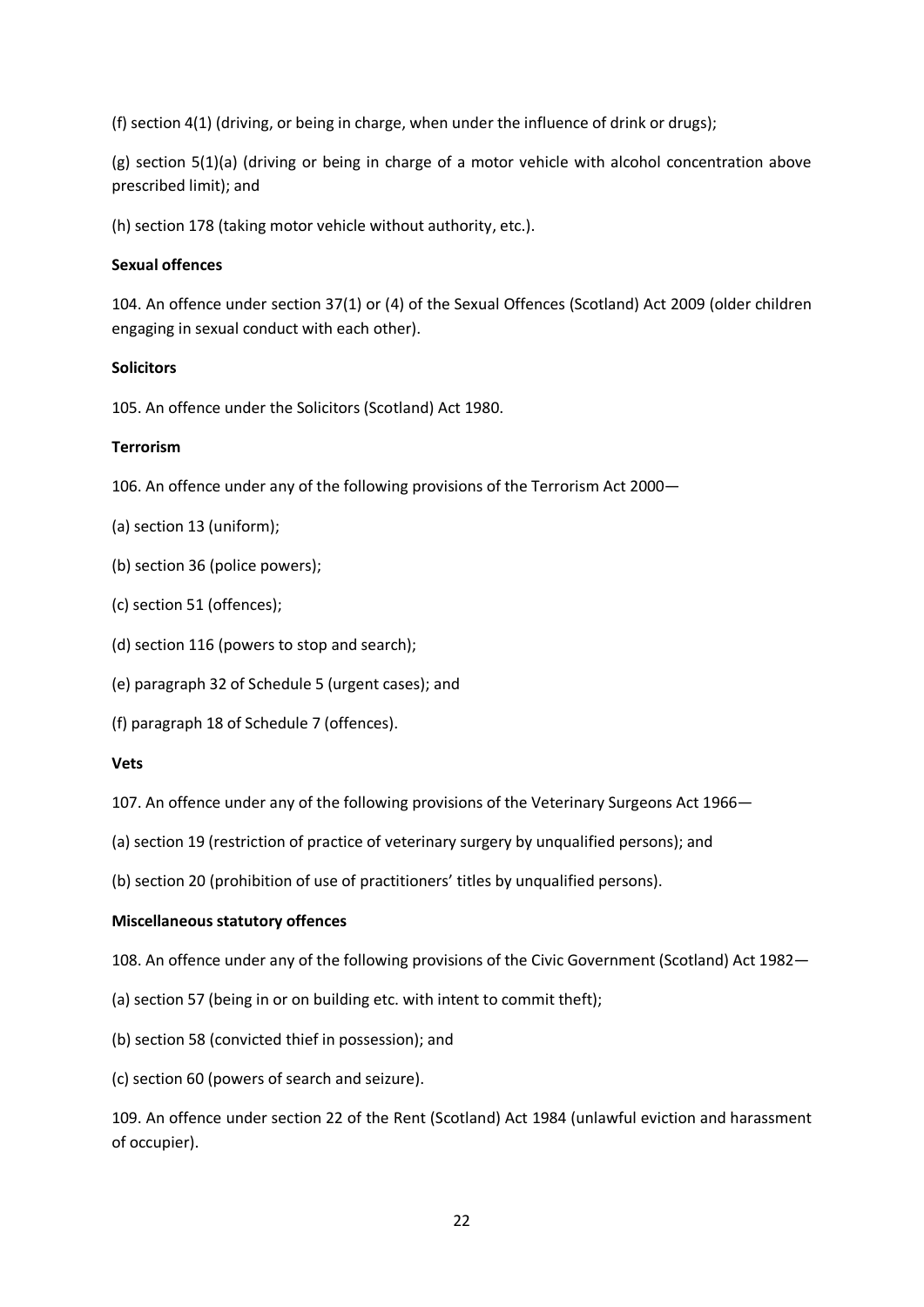(f) section 4(1) (driving, or being in charge, when under the influence of drink or drugs);

(g) section 5(1)(a) (driving or being in charge of a motor vehicle with alcohol concentration above prescribed limit); and

(h) section 178 (taking motor vehicle without authority, etc.).

### **Sexual offences**

104. An offence under section 37(1) or (4) of the Sexual Offences (Scotland) Act 2009 (older children engaging in sexual conduct with each other).

### **Solicitors**

105. An offence under the Solicitors (Scotland) Act 1980.

## **Terrorism**

106. An offence under any of the following provisions of the Terrorism Act 2000—

- (a) section 13 (uniform);
- (b) section 36 (police powers);
- (c) section 51 (offences);
- (d) section 116 (powers to stop and search);
- (e) paragraph 32 of Schedule 5 (urgent cases); and
- (f) paragraph 18 of Schedule 7 (offences).

### **Vets**

107. An offence under any of the following provisions of the Veterinary Surgeons Act 1966—

- (a) section 19 (restriction of practice of veterinary surgery by unqualified persons); and
- (b) section 20 (prohibition of use of practitioners' titles by unqualified persons).

### **Miscellaneous statutory offences**

108. An offence under any of the following provisions of the Civic Government (Scotland) Act 1982—

- (a) section 57 (being in or on building etc. with intent to commit theft);
- (b) section 58 (convicted thief in possession); and
- (c) section 60 (powers of search and seizure).

109. An offence under section 22 of the Rent (Scotland) Act 1984 (unlawful eviction and harassment of occupier).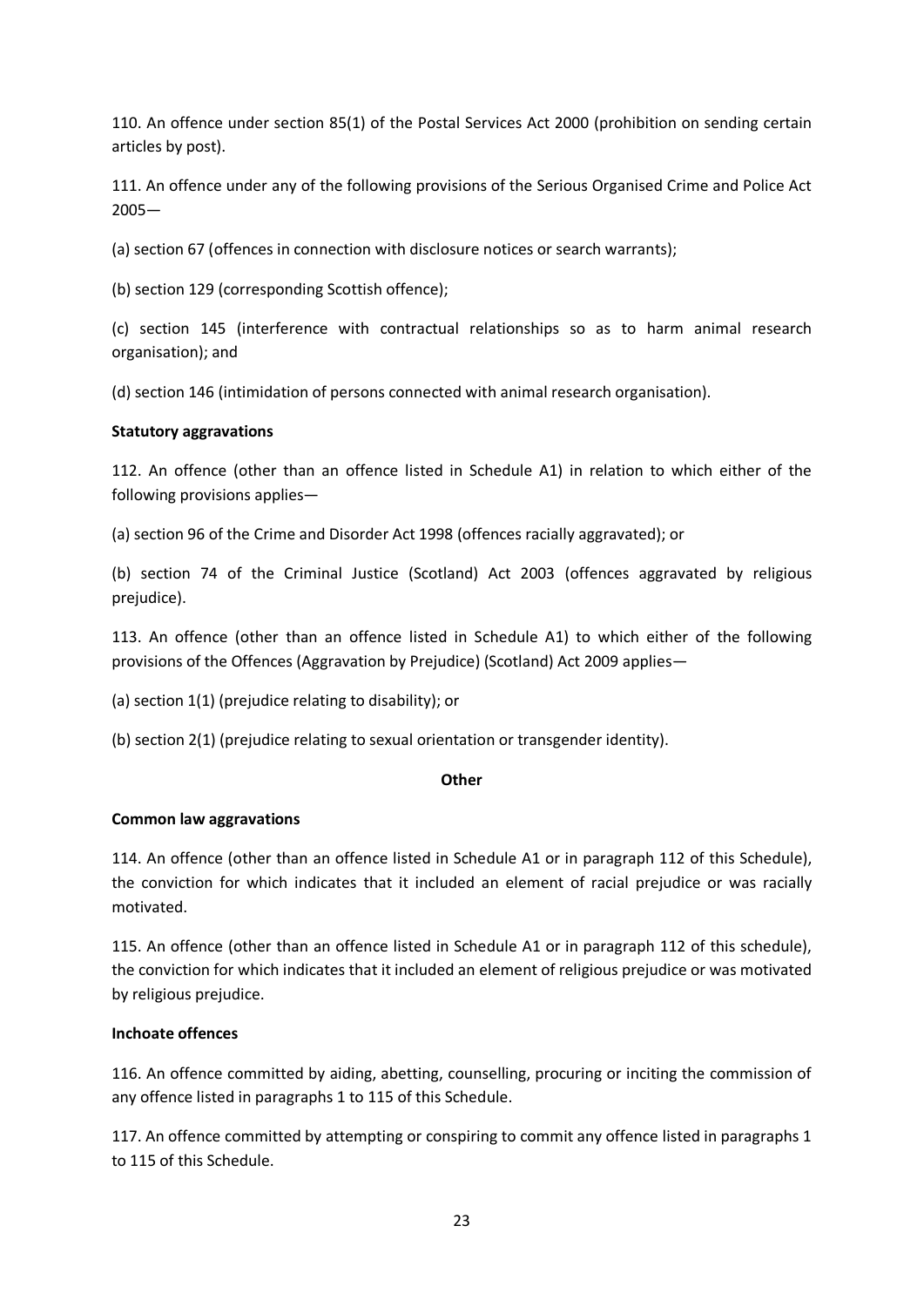110. An offence under section 85(1) of the Postal Services Act 2000 (prohibition on sending certain articles by post).

111. An offence under any of the following provisions of the Serious Organised Crime and Police Act 2005—

(a) section 67 (offences in connection with disclosure notices or search warrants);

(b) section 129 (corresponding Scottish offence);

(c) section 145 (interference with contractual relationships so as to harm animal research organisation); and

(d) section 146 (intimidation of persons connected with animal research organisation).

# **Statutory aggravations**

112. An offence (other than an offence listed in Schedule A1) in relation to which either of the following provisions applies—

(a) section 96 of the Crime and Disorder Act 1998 (offences racially aggravated); or

(b) section 74 of the Criminal Justice (Scotland) Act 2003 (offences aggravated by religious prejudice).

113. An offence (other than an offence listed in Schedule A1) to which either of the following provisions of the Offences (Aggravation by Prejudice) (Scotland) Act 2009 applies—

(a) section 1(1) (prejudice relating to disability); or

(b) section 2(1) (prejudice relating to sexual orientation or transgender identity).

### **Other**

# **Common law aggravations**

114. An offence (other than an offence listed in Schedule A1 or in paragraph 112 of this Schedule), the conviction for which indicates that it included an element of racial prejudice or was racially motivated.

115. An offence (other than an offence listed in Schedule A1 or in paragraph 112 of this schedule), the conviction for which indicates that it included an element of religious prejudice or was motivated by religious prejudice.

# **Inchoate offences**

116. An offence committed by aiding, abetting, counselling, procuring or inciting the commission of any offence listed in paragraphs 1 to 115 of this Schedule.

117. An offence committed by attempting or conspiring to commit any offence listed in paragraphs 1 to 115 of this Schedule.